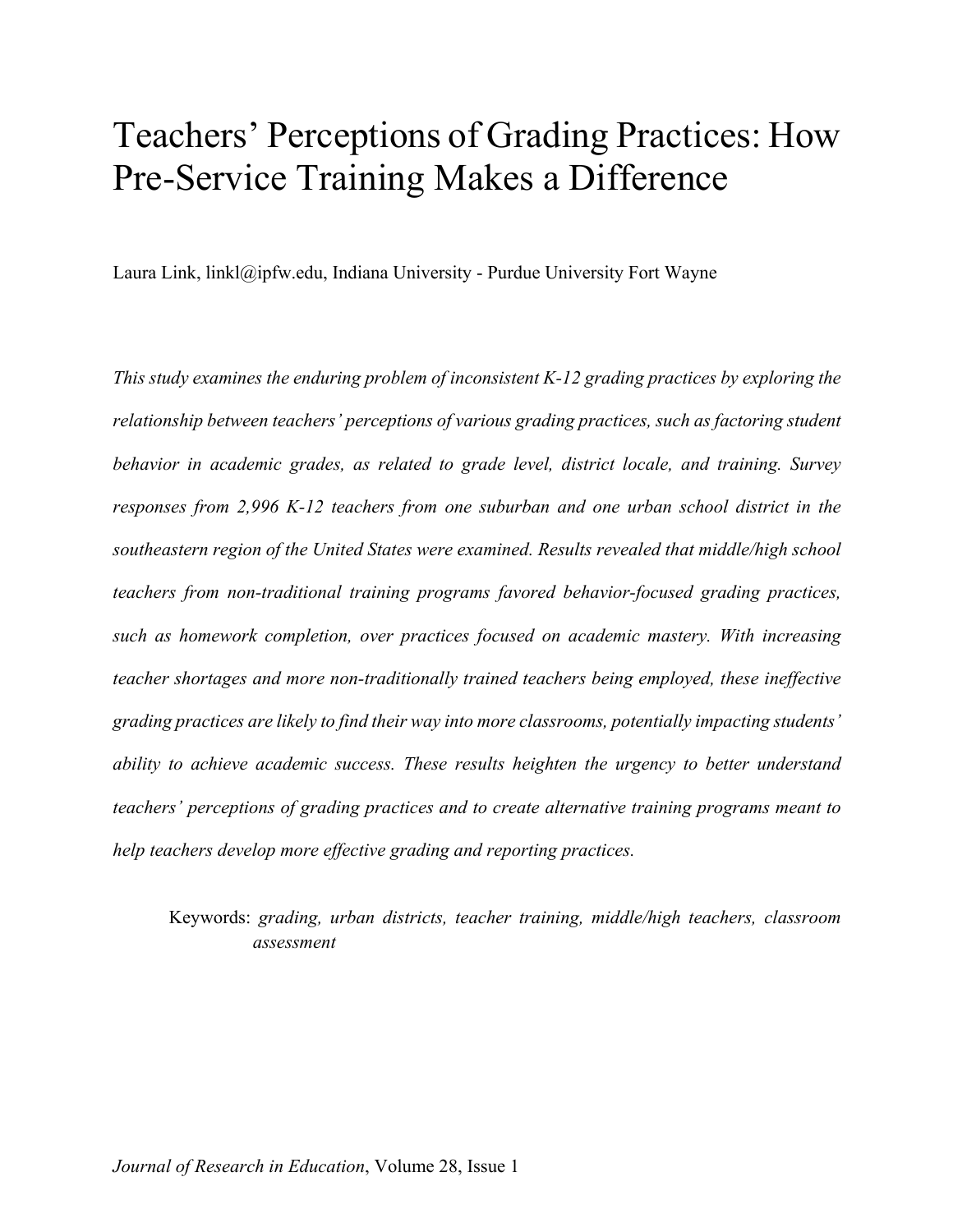# Teachers' Perceptions of Grading Practices: How Pre-Service Training Makes a Difference

Laura Link, linkl@ipfw.edu, Indiana University - Purdue University Fort Wayne

*This study examines the enduring problem of inconsistent K-12 grading practices by exploring the relationship between teachers' perceptions of various grading practices, such as factoring student behavior in academic grades, as related to grade level, district locale, and training. Survey responses from 2,996 K-12 teachers from one suburban and one urban school district in the southeastern region of the United States were examined. Results revealed that middle/high school teachers from non-traditional training programs favored behavior-focused grading practices, such as homework completion, over practices focused on academic mastery. With increasing teacher shortages and more non-traditionally trained teachers being employed, these ineffective grading practices are likely to find their way into more classrooms, potentially impacting students' ability to achieve academic success. These results heighten the urgency to better understand teachers' perceptions of grading practices and to create alternative training programs meant to help teachers develop more effective grading and reporting practices.*

Keywords: *grading, urban districts, teacher training, middle/high teachers, classroom assessment*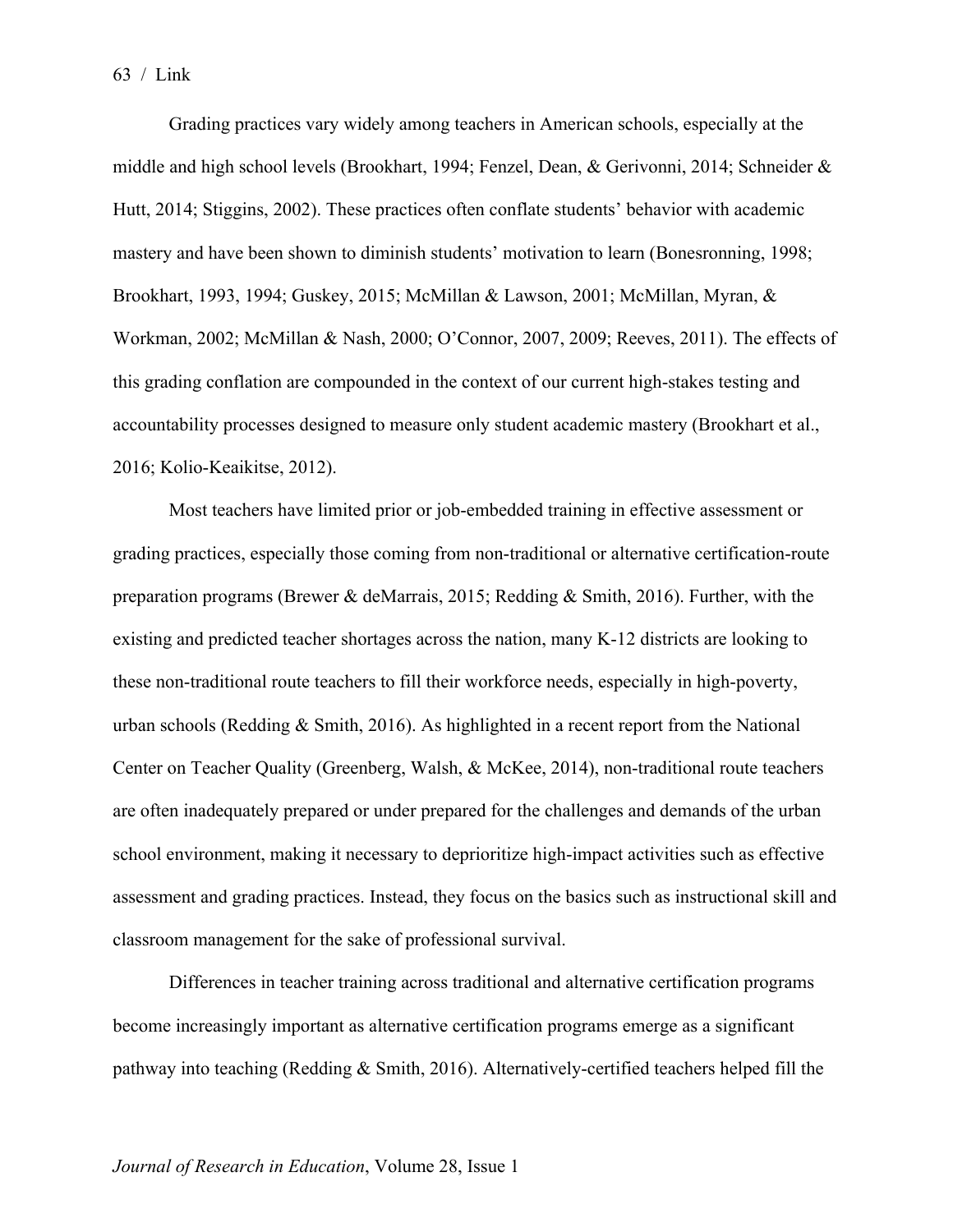Grading practices vary widely among teachers in American schools, especially at the middle and high school levels (Brookhart, 1994; Fenzel, Dean, & Gerivonni, 2014; Schneider & Hutt, 2014; Stiggins, 2002). These practices often conflate students' behavior with academic mastery and have been shown to diminish students' motivation to learn (Bonesronning, 1998; Brookhart, 1993, 1994; Guskey, 2015; McMillan & Lawson, 2001; McMillan, Myran, & Workman, 2002; McMillan & Nash, 2000; O'Connor, 2007, 2009; Reeves, 2011). The effects of this grading conflation are compounded in the context of our current high-stakes testing and accountability processes designed to measure only student academic mastery (Brookhart et al., 2016; Kolio-Keaikitse, 2012).

Most teachers have limited prior or job-embedded training in effective assessment or grading practices, especially those coming from non-traditional or alternative certification-route preparation programs (Brewer & deMarrais, 2015; Redding & Smith, 2016). Further, with the existing and predicted teacher shortages across the nation, many K-12 districts are looking to these non-traditional route teachers to fill their workforce needs, especially in high-poverty, urban schools (Redding & Smith, 2016). As highlighted in a recent report from the National Center on Teacher Quality (Greenberg, Walsh, & McKee, 2014), non-traditional route teachers are often inadequately prepared or under prepared for the challenges and demands of the urban school environment, making it necessary to deprioritize high-impact activities such as effective assessment and grading practices. Instead, they focus on the basics such as instructional skill and classroom management for the sake of professional survival.

Differences in teacher training across traditional and alternative certification programs become increasingly important as alternative certification programs emerge as a significant pathway into teaching (Redding & Smith, 2016). Alternatively-certified teachers helped fill the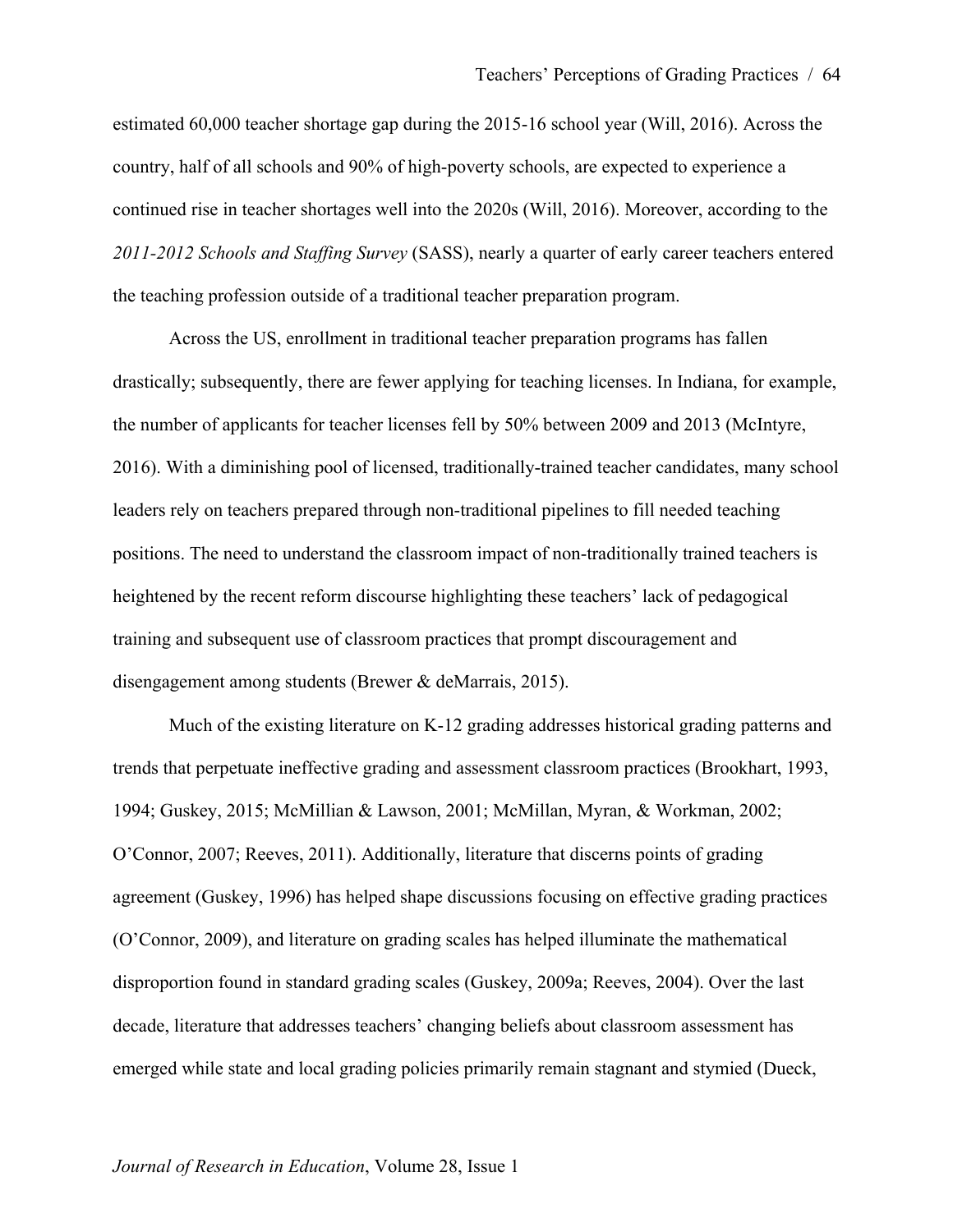estimated 60,000 teacher shortage gap during the 2015-16 school year (Will, 2016). Across the country, half of all schools and 90% of high-poverty schools, are expected to experience a continued rise in teacher shortages well into the 2020s (Will, 2016). Moreover, according to the *2011-2012 Schools and Staffing Survey* (SASS), nearly a quarter of early career teachers entered the teaching profession outside of a traditional teacher preparation program.

Across the US, enrollment in traditional teacher preparation programs has fallen drastically; subsequently, there are fewer applying for teaching licenses. In Indiana, for example, the number of applicants for teacher licenses fell by 50% between 2009 and 2013 (McIntyre, 2016). With a diminishing pool of licensed, traditionally-trained teacher candidates, many school leaders rely on teachers prepared through non-traditional pipelines to fill needed teaching positions. The need to understand the classroom impact of non-traditionally trained teachers is heightened by the recent reform discourse highlighting these teachers' lack of pedagogical training and subsequent use of classroom practices that prompt discouragement and disengagement among students (Brewer & deMarrais, 2015).

Much of the existing literature on K-12 grading addresses historical grading patterns and trends that perpetuate ineffective grading and assessment classroom practices (Brookhart, 1993, 1994; Guskey, 2015; McMillian & Lawson, 2001; McMillan, Myran, & Workman, 2002; O'Connor, 2007; Reeves, 2011). Additionally, literature that discerns points of grading agreement (Guskey, 1996) has helped shape discussions focusing on effective grading practices (O'Connor, 2009), and literature on grading scales has helped illuminate the mathematical disproportion found in standard grading scales (Guskey, 2009a; Reeves, 2004). Over the last decade, literature that addresses teachers' changing beliefs about classroom assessment has emerged while state and local grading policies primarily remain stagnant and stymied (Dueck,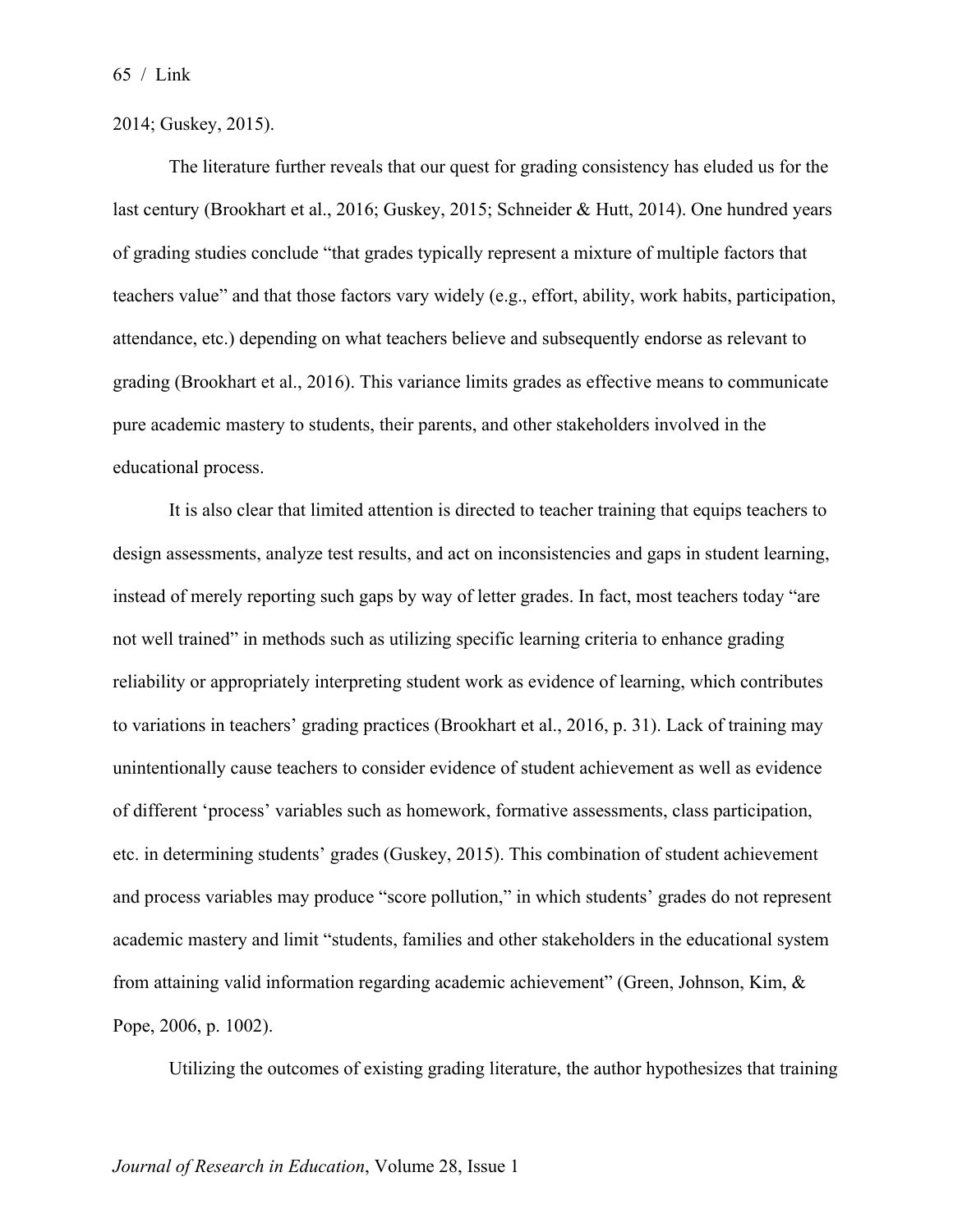2014; Guskey, 2015).

The literature further reveals that our quest for grading consistency has eluded us for the last century (Brookhart et al., 2016; Guskey, 2015; Schneider & Hutt, 2014). One hundred years of grading studies conclude "that grades typically represent a mixture of multiple factors that teachers value" and that those factors vary widely (e.g., effort, ability, work habits, participation, attendance, etc.) depending on what teachers believe and subsequently endorse as relevant to grading (Brookhart et al., 2016). This variance limits grades as effective means to communicate pure academic mastery to students, their parents, and other stakeholders involved in the educational process.

It is also clear that limited attention is directed to teacher training that equips teachers to design assessments, analyze test results, and act on inconsistencies and gaps in student learning, instead of merely reporting such gaps by way of letter grades. In fact, most teachers today "are not well trained" in methods such as utilizing specific learning criteria to enhance grading reliability or appropriately interpreting student work as evidence of learning, which contributes to variations in teachers' grading practices (Brookhart et al., 2016, p. 31). Lack of training may unintentionally cause teachers to consider evidence of student achievement as well as evidence of different 'process' variables such as homework, formative assessments, class participation, etc. in determining students' grades (Guskey, 2015). This combination of student achievement and process variables may produce "score pollution," in which students' grades do not represent academic mastery and limit "students, families and other stakeholders in the educational system from attaining valid information regarding academic achievement" (Green, Johnson, Kim, & Pope, 2006, p. 1002).

Utilizing the outcomes of existing grading literature, the author hypothesizes that training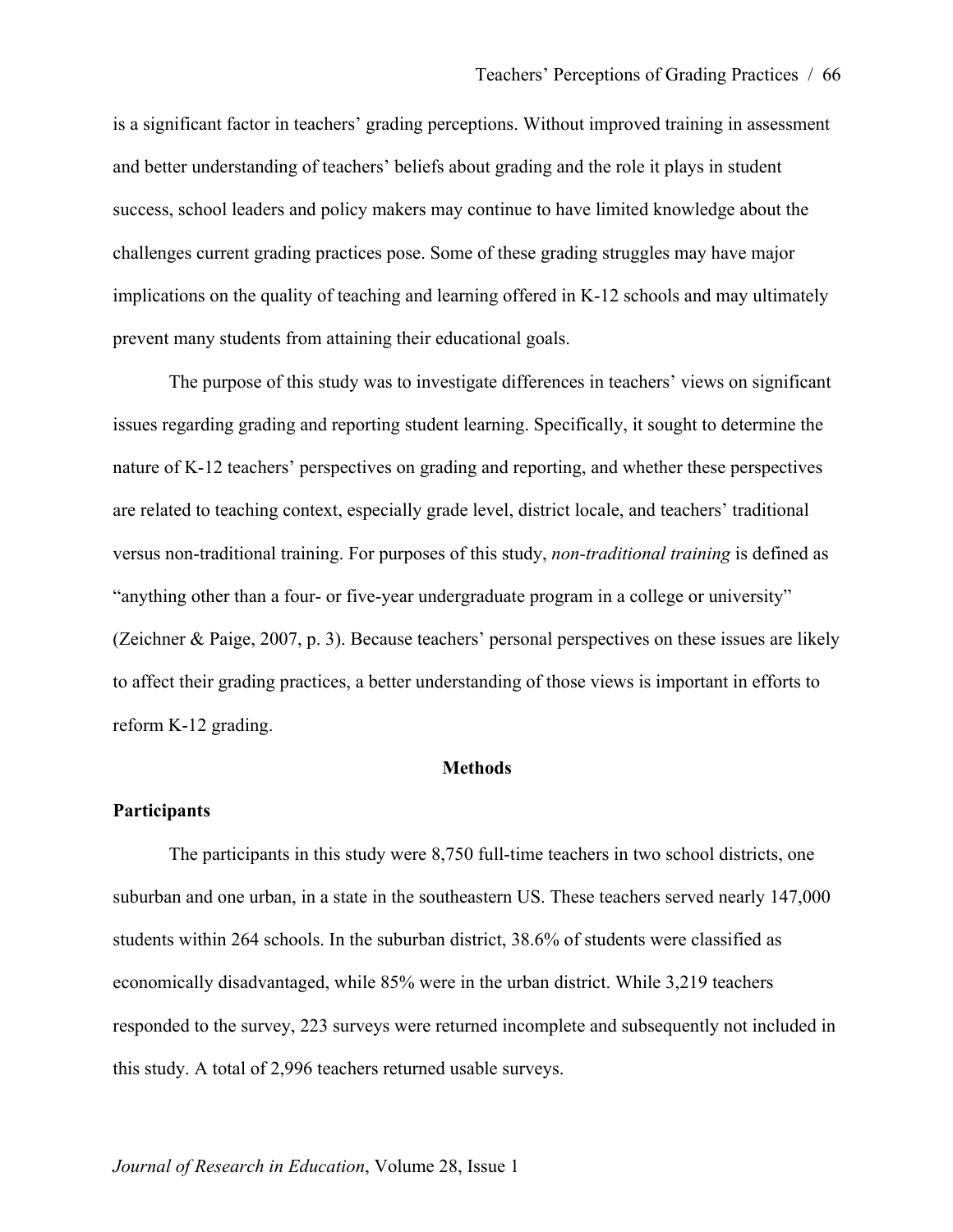is a significant factor in teachers' grading perceptions. Without improved training in assessment and better understanding of teachers' beliefs about grading and the role it plays in student success, school leaders and policy makers may continue to have limited knowledge about the challenges current grading practices pose. Some of these grading struggles may have major implications on the quality of teaching and learning offered in K-12 schools and may ultimately prevent many students from attaining their educational goals.

The purpose of this study was to investigate differences in teachers' views on significant issues regarding grading and reporting student learning. Specifically, it sought to determine the nature of K-12 teachers' perspectives on grading and reporting, and whether these perspectives are related to teaching context, especially grade level, district locale, and teachers' traditional versus non-traditional training. For purposes of this study, *non-traditional training* is defined as "anything other than a four- or five-year undergraduate program in a college or university" (Zeichner & Paige, 2007, p. 3). Because teachers' personal perspectives on these issues are likely to affect their grading practices, a better understanding of those views is important in efforts to reform K-12 grading.

#### **Methods**

#### **Participants**

The participants in this study were 8,750 full-time teachers in two school districts, one suburban and one urban, in a state in the southeastern US. These teachers served nearly 147,000 students within 264 schools. In the suburban district, 38.6% of students were classified as economically disadvantaged, while 85% were in the urban district. While 3,219 teachers responded to the survey, 223 surveys were returned incomplete and subsequently not included in this study. A total of 2,996 teachers returned usable surveys.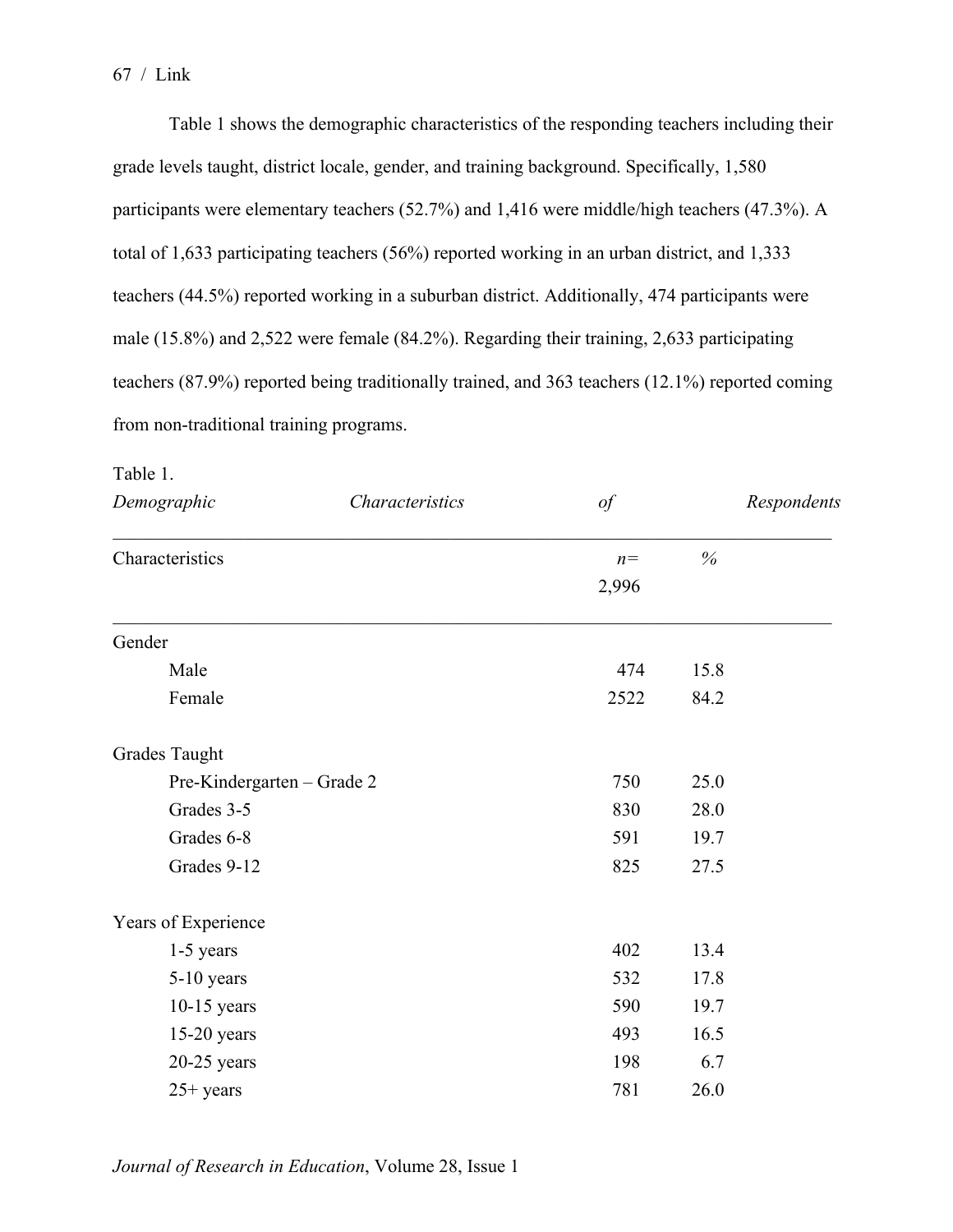Table 1 shows the demographic characteristics of the responding teachers including their grade levels taught, district locale, gender, and training background. Specifically, 1,580 participants were elementary teachers (52.7%) and 1,416 were middle/high teachers (47.3%). A total of 1,633 participating teachers (56%) reported working in an urban district, and 1,333 teachers (44.5%) reported working in a suburban district. Additionally, 474 participants were male (15.8%) and 2,522 were female (84.2%). Regarding their training, 2,633 participating teachers (87.9%) reported being traditionally trained, and 363 teachers (12.1%) reported coming from non-traditional training programs.

| Demographic<br>Characteristics |  | $\iota$ |      | Respondents |  |
|--------------------------------|--|---------|------|-------------|--|
| Characteristics                |  | $n=$    | $\%$ |             |  |
|                                |  | 2,996   |      |             |  |
| Gender                         |  |         |      |             |  |
| Male                           |  | 474     | 15.8 |             |  |
| Female                         |  | 2522    | 84.2 |             |  |
| <b>Grades Taught</b>           |  |         |      |             |  |
| Pre-Kindergarten – Grade 2     |  | 750     | 25.0 |             |  |
| Grades 3-5                     |  | 830     | 28.0 |             |  |
| Grades 6-8                     |  | 591     | 19.7 |             |  |
| Grades 9-12                    |  | 825     | 27.5 |             |  |
| Years of Experience            |  |         |      |             |  |
| 1-5 years                      |  | 402     | 13.4 |             |  |
| 5-10 years                     |  | 532     | 17.8 |             |  |
| $10-15$ years                  |  | 590     | 19.7 |             |  |
| $15-20$ years                  |  | 493     | 16.5 |             |  |
| $20-25$ years                  |  | 198     | 6.7  |             |  |
| $25+ years$                    |  | 781     | 26.0 |             |  |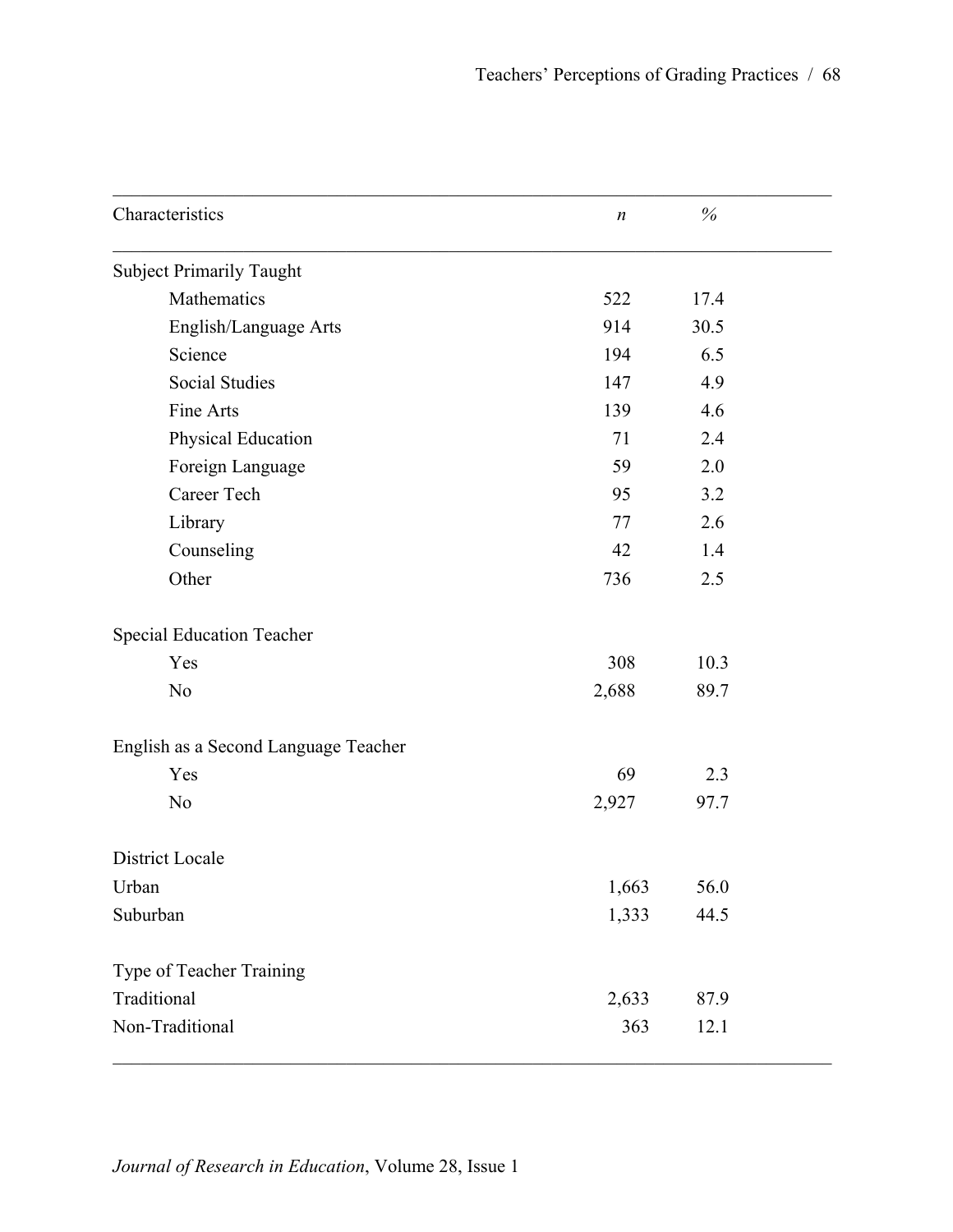| Characteristics                      | $\boldsymbol{n}$ | $\%$ |  |
|--------------------------------------|------------------|------|--|
| <b>Subject Primarily Taught</b>      |                  |      |  |
| Mathematics                          | 522              | 17.4 |  |
| English/Language Arts                | 914              | 30.5 |  |
| Science                              | 194              | 6.5  |  |
| <b>Social Studies</b>                | 147              | 4.9  |  |
| Fine Arts                            | 139              | 4.6  |  |
| Physical Education                   | 71               | 2.4  |  |
| Foreign Language                     | 59               | 2.0  |  |
| Career Tech                          | 95               | 3.2  |  |
| Library                              | 77               | 2.6  |  |
| Counseling                           | 42               | 1.4  |  |
| Other                                | 736              | 2.5  |  |
| <b>Special Education Teacher</b>     |                  |      |  |
| Yes                                  | 308              | 10.3 |  |
| N <sub>o</sub>                       | 2,688            | 89.7 |  |
| English as a Second Language Teacher |                  |      |  |
| Yes                                  | 69               | 2.3  |  |
| N <sub>o</sub>                       | 2,927            | 97.7 |  |
| District Locale                      |                  |      |  |
| Urban                                | 1,663            | 56.0 |  |
| Suburban                             | 1,333            | 44.5 |  |
| Type of Teacher Training             |                  |      |  |
| Traditional                          | 2,633            | 87.9 |  |
| Non-Traditional                      | 363              | 12.1 |  |
|                                      |                  |      |  |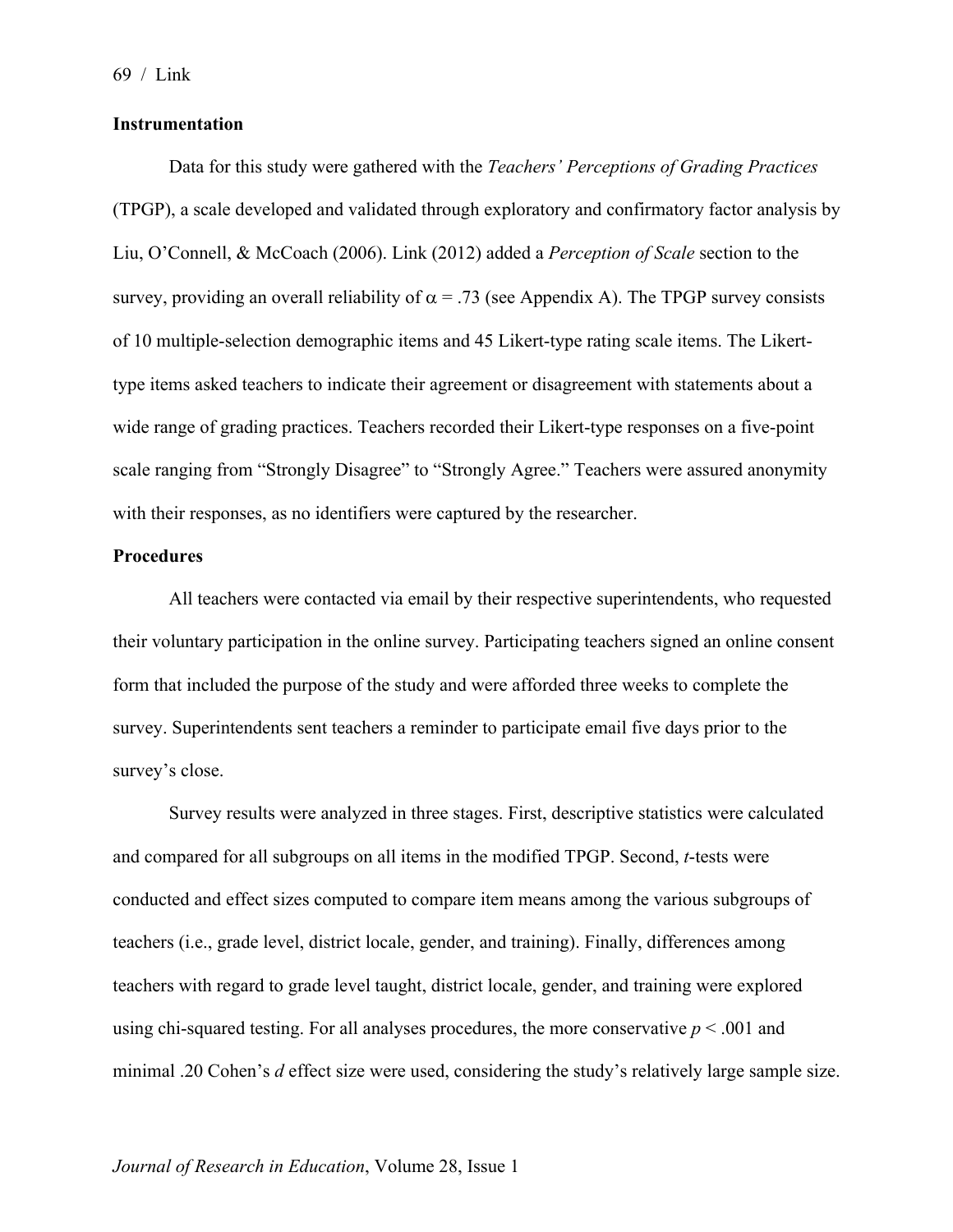#### **Instrumentation**

Data for this study were gathered with the *Teachers' Perceptions of Grading Practices* (TPGP), a scale developed and validated through exploratory and confirmatory factor analysis by Liu, O'Connell, & McCoach (2006). Link (2012) added a *Perception of Scale* section to the survey, providing an overall reliability of  $\alpha$  = .73 (see Appendix A). The TPGP survey consists of 10 multiple-selection demographic items and 45 Likert-type rating scale items. The Likerttype items asked teachers to indicate their agreement or disagreement with statements about a wide range of grading practices. Teachers recorded their Likert-type responses on a five-point scale ranging from "Strongly Disagree" to "Strongly Agree." Teachers were assured anonymity with their responses, as no identifiers were captured by the researcher.

## **Procedures**

All teachers were contacted via email by their respective superintendents, who requested their voluntary participation in the online survey. Participating teachers signed an online consent form that included the purpose of the study and were afforded three weeks to complete the survey. Superintendents sent teachers a reminder to participate email five days prior to the survey's close.

Survey results were analyzed in three stages. First, descriptive statistics were calculated and compared for all subgroups on all items in the modified TPGP. Second, *t*-tests were conducted and effect sizes computed to compare item means among the various subgroups of teachers (i.e., grade level, district locale, gender, and training). Finally, differences among teachers with regard to grade level taught, district locale, gender, and training were explored using chi-squared testing. For all analyses procedures, the more conservative  $p < .001$  and minimal .20 Cohen's *d* effect size were used, considering the study's relatively large sample size.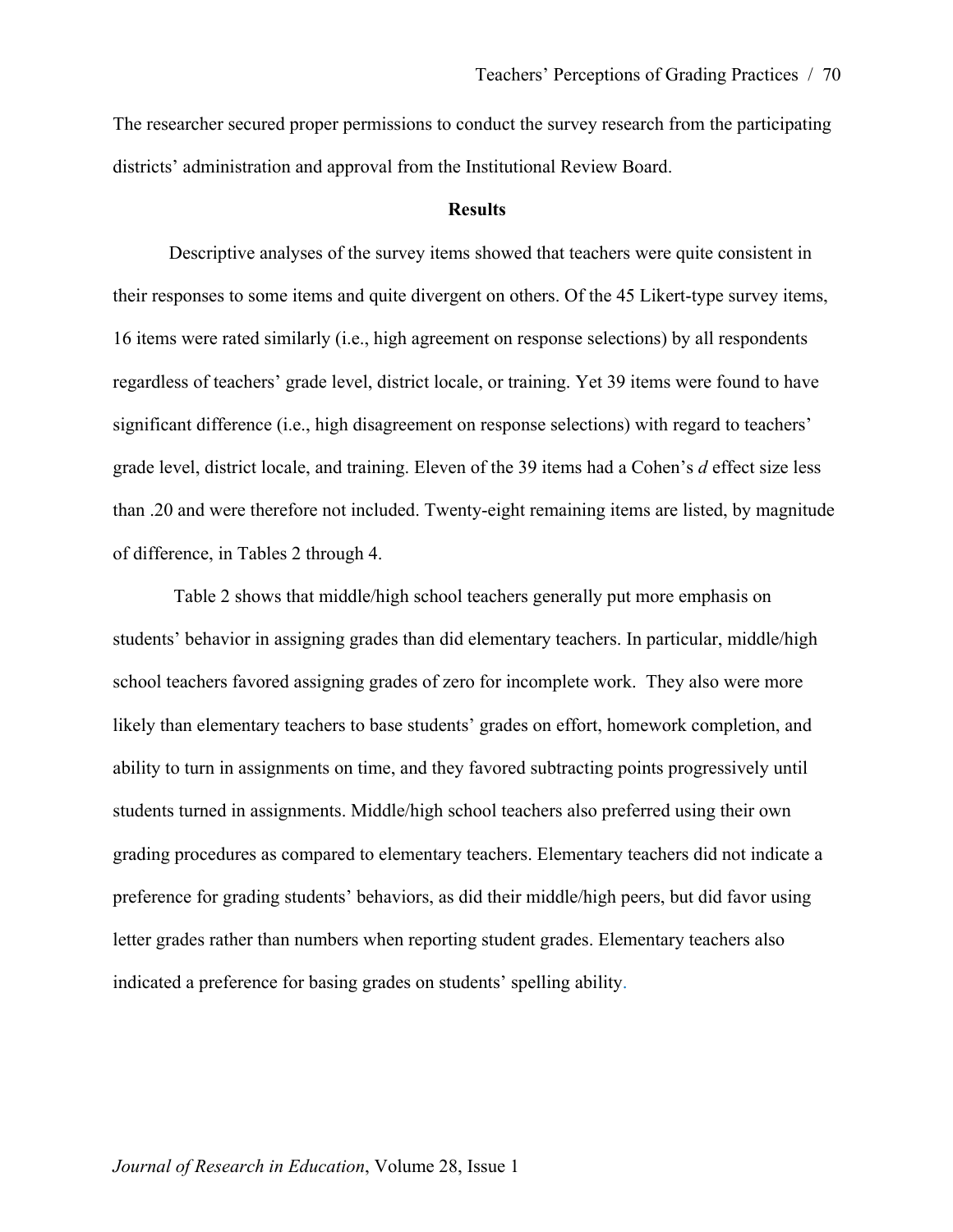The researcher secured proper permissions to conduct the survey research from the participating districts' administration and approval from the Institutional Review Board.

#### **Results**

Descriptive analyses of the survey items showed that teachers were quite consistent in their responses to some items and quite divergent on others. Of the 45 Likert-type survey items, 16 items were rated similarly (i.e., high agreement on response selections) by all respondents regardless of teachers' grade level, district locale, or training. Yet 39 items were found to have significant difference (i.e., high disagreement on response selections) with regard to teachers' grade level, district locale, and training. Eleven of the 39 items had a Cohen's *d* effect size less than .20 and were therefore not included. Twenty-eight remaining items are listed, by magnitude of difference, in Tables 2 through 4.

Table 2 shows that middle/high school teachers generally put more emphasis on students' behavior in assigning grades than did elementary teachers. In particular, middle/high school teachers favored assigning grades of zero for incomplete work. They also were more likely than elementary teachers to base students' grades on effort, homework completion, and ability to turn in assignments on time, and they favored subtracting points progressively until students turned in assignments. Middle/high school teachers also preferred using their own grading procedures as compared to elementary teachers. Elementary teachers did not indicate a preference for grading students' behaviors, as did their middle/high peers, but did favor using letter grades rather than numbers when reporting student grades. Elementary teachers also indicated a preference for basing grades on students' spelling ability.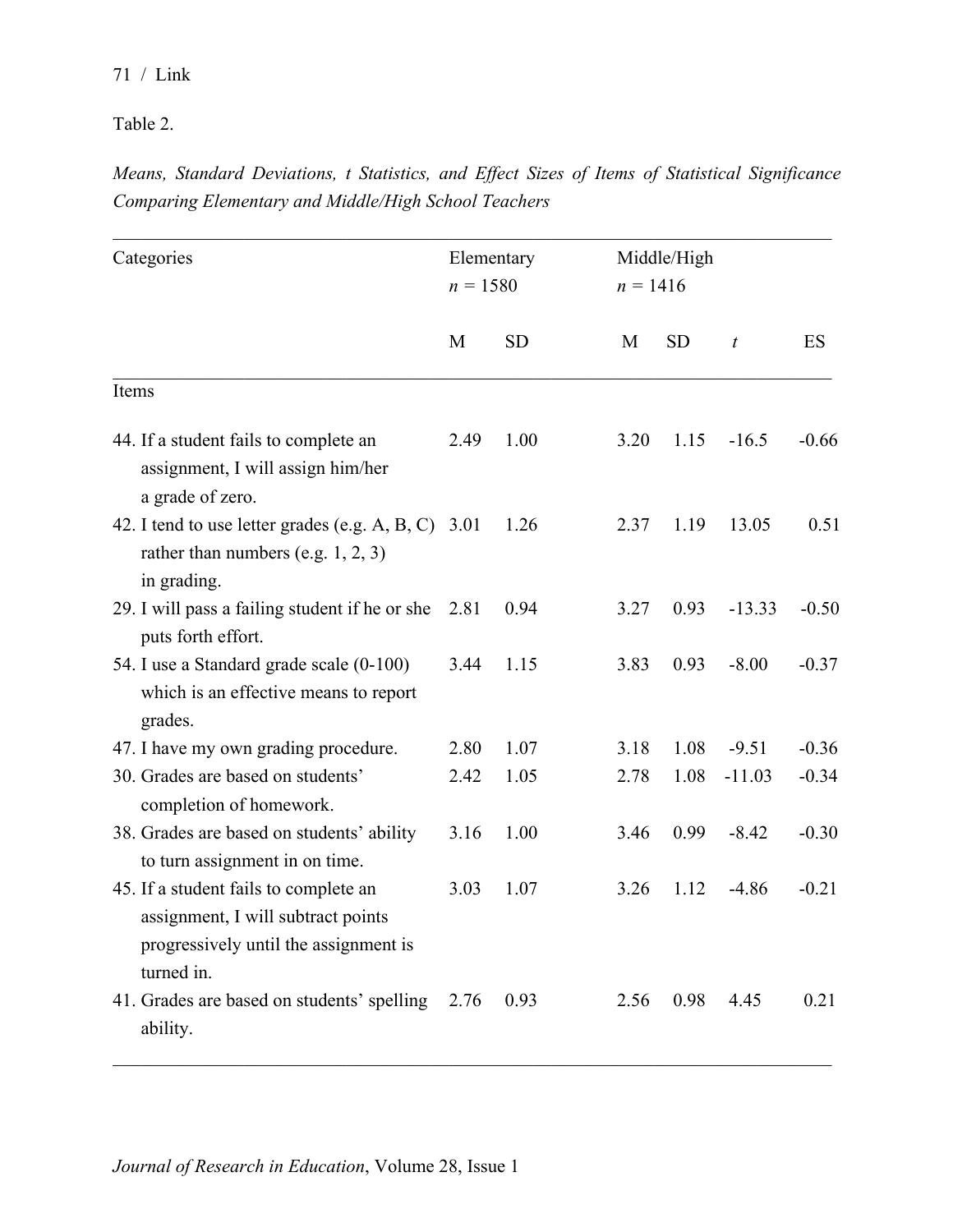Table 2.

*Means, Standard Deviations, t Statistics, and Effect Sizes of Items of Statistical Significance Comparing Elementary and Middle/High School Teachers*

| Categories |                                                                                                                                    |      | Middle/High<br>Elementary<br>$n = 1580$<br>$n = 1416$ |  |      |           |                  |         |
|------------|------------------------------------------------------------------------------------------------------------------------------------|------|-------------------------------------------------------|--|------|-----------|------------------|---------|
|            |                                                                                                                                    | M    | <b>SD</b>                                             |  | M    | <b>SD</b> | $\boldsymbol{t}$ | ES      |
| Items      |                                                                                                                                    |      |                                                       |  |      |           |                  |         |
|            | 44. If a student fails to complete an<br>assignment, I will assign him/her<br>a grade of zero.                                     | 2.49 | 1.00                                                  |  | 3.20 | 1.15      | $-16.5$          | $-0.66$ |
|            | 42. I tend to use letter grades (e.g. A, B, C) 3.01<br>rather than numbers (e.g. $1, 2, 3$ )<br>in grading.                        |      | 1.26                                                  |  | 2.37 | 1.19      | 13.05            | 0.51    |
|            | 29. I will pass a failing student if he or she<br>puts forth effort.                                                               | 2.81 | 0.94                                                  |  | 3.27 | 0.93      | $-13.33$         | $-0.50$ |
|            | 54. I use a Standard grade scale (0-100)<br>which is an effective means to report<br>grades.                                       | 3.44 | 1.15                                                  |  | 3.83 | 0.93      | $-8.00$          | $-0.37$ |
|            | 47. I have my own grading procedure.                                                                                               | 2.80 | 1.07                                                  |  | 3.18 | 1.08      | $-9.51$          | $-0.36$ |
|            | 30. Grades are based on students'<br>completion of homework.                                                                       | 2.42 | 1.05                                                  |  | 2.78 | 1.08      | $-11.03$         | $-0.34$ |
|            | 38. Grades are based on students' ability<br>to turn assignment in on time.                                                        | 3.16 | 1.00                                                  |  | 3.46 | 0.99      | $-8.42$          | $-0.30$ |
|            | 45. If a student fails to complete an<br>assignment, I will subtract points<br>progressively until the assignment is<br>turned in. | 3.03 | 1.07                                                  |  | 3.26 | 1.12      | $-4.86$          | $-0.21$ |
|            | 41. Grades are based on students' spelling<br>ability.                                                                             | 2.76 | 0.93                                                  |  | 2.56 | 0.98      | 4.45             | 0.21    |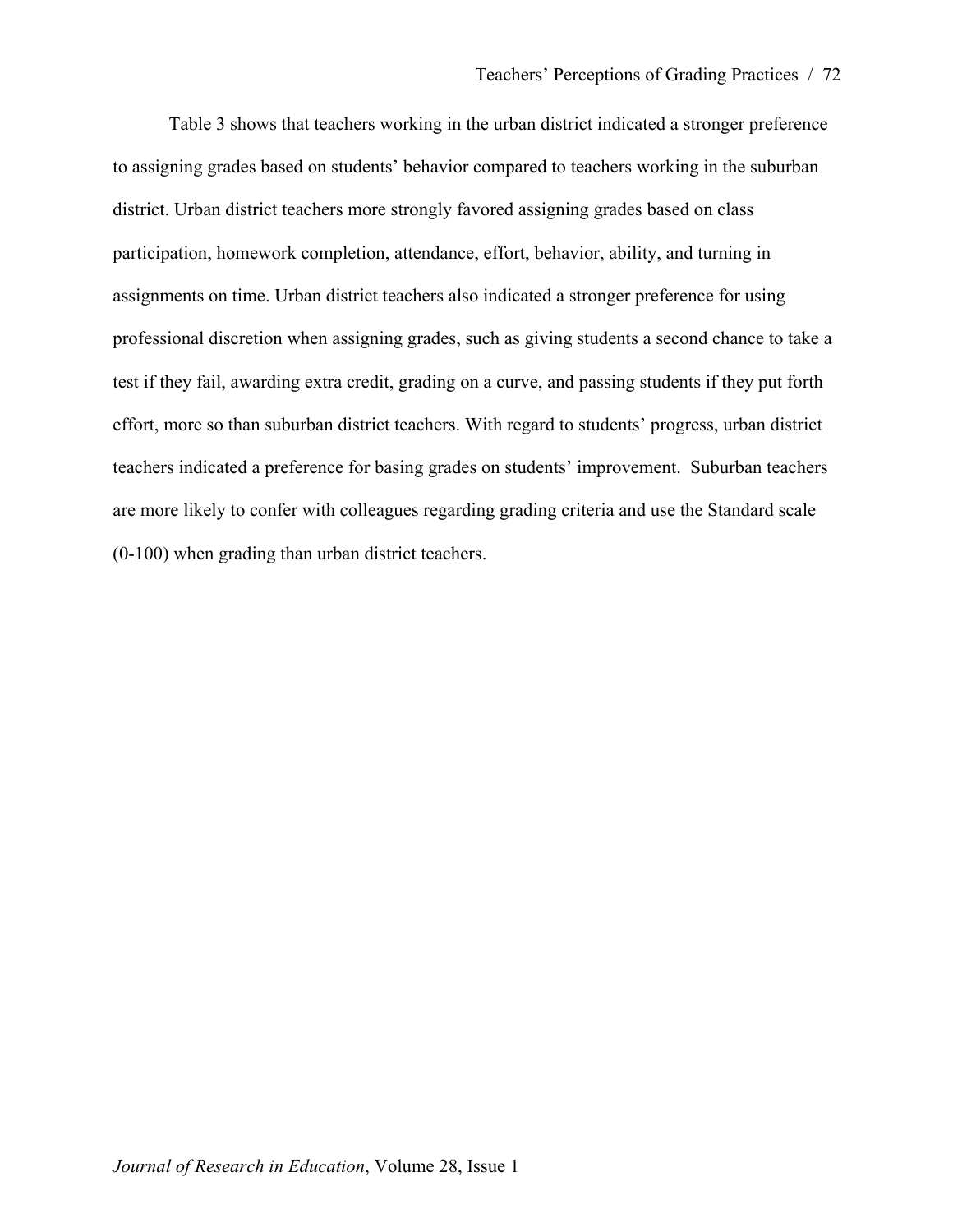Table 3 shows that teachers working in the urban district indicated a stronger preference to assigning grades based on students' behavior compared to teachers working in the suburban district. Urban district teachers more strongly favored assigning grades based on class participation, homework completion, attendance, effort, behavior, ability, and turning in assignments on time. Urban district teachers also indicated a stronger preference for using professional discretion when assigning grades, such as giving students a second chance to take a test if they fail, awarding extra credit, grading on a curve, and passing students if they put forth effort, more so than suburban district teachers. With regard to students' progress, urban district teachers indicated a preference for basing grades on students' improvement. Suburban teachers are more likely to confer with colleagues regarding grading criteria and use the Standard scale (0-100) when grading than urban district teachers.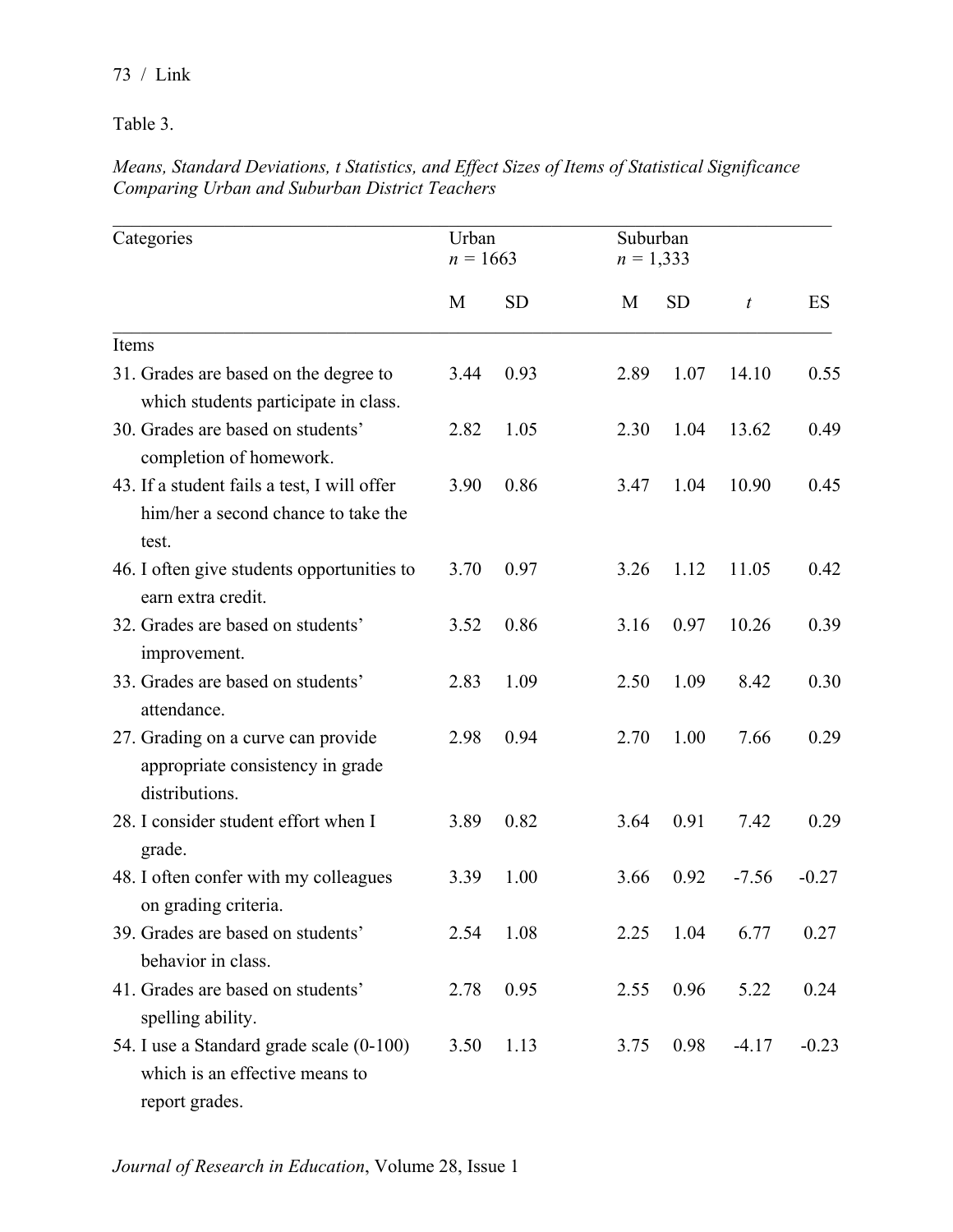Table 3.

*Means, Standard Deviations, t Statistics, and Effect Sizes of Items of Statistical Significance Comparing Urban and Suburban District Teachers*

| Categories                                                                                   |      | Urban<br>$n = 1663$ |      | Suburban<br>$n = 1,333$ |                  |         |
|----------------------------------------------------------------------------------------------|------|---------------------|------|-------------------------|------------------|---------|
|                                                                                              | M    | <b>SD</b>           | M    | <b>SD</b>               | $\boldsymbol{t}$ | ES      |
| Items                                                                                        |      |                     |      |                         |                  |         |
| 31. Grades are based on the degree to<br>which students participate in class.                | 3.44 | 0.93                | 2.89 | 1.07                    | 14.10            | 0.55    |
| 30. Grades are based on students'<br>completion of homework.                                 | 2.82 | 1.05                | 2.30 | 1.04                    | 13.62            | 0.49    |
| 43. If a student fails a test, I will offer<br>him/her a second chance to take the<br>test.  | 3.90 | 0.86                | 3.47 | 1.04                    | 10.90            | 0.45    |
| 46. I often give students opportunities to<br>earn extra credit.                             | 3.70 | 0.97                | 3.26 | 1.12                    | 11.05            | 0.42    |
| 32. Grades are based on students'<br>improvement.                                            | 3.52 | 0.86                | 3.16 | 0.97                    | 10.26            | 0.39    |
| 33. Grades are based on students'<br>attendance.                                             | 2.83 | 1.09                | 2.50 | 1.09                    | 8.42             | 0.30    |
| 27. Grading on a curve can provide<br>appropriate consistency in grade<br>distributions.     | 2.98 | 0.94                | 2.70 | 1.00                    | 7.66             | 0.29    |
| 28. I consider student effort when I<br>grade.                                               | 3.89 | 0.82                | 3.64 | 0.91                    | 7.42             | 0.29    |
| 48. I often confer with my colleagues<br>on grading criteria.                                | 3.39 | 1.00                | 3.66 | 0.92                    | $-7.56$          | $-0.27$ |
| 39. Grades are based on students'<br>behavior in class.                                      | 2.54 | 1.08                | 2.25 | 1.04                    | 6.77             | 0.27    |
| 41. Grades are based on students'<br>spelling ability.                                       | 2.78 | 0.95                | 2.55 | 0.96                    | 5.22             | 0.24    |
| 54. I use a Standard grade scale (0-100)<br>which is an effective means to<br>report grades. | 3.50 | 1.13                | 3.75 | 0.98                    | $-4.17$          | $-0.23$ |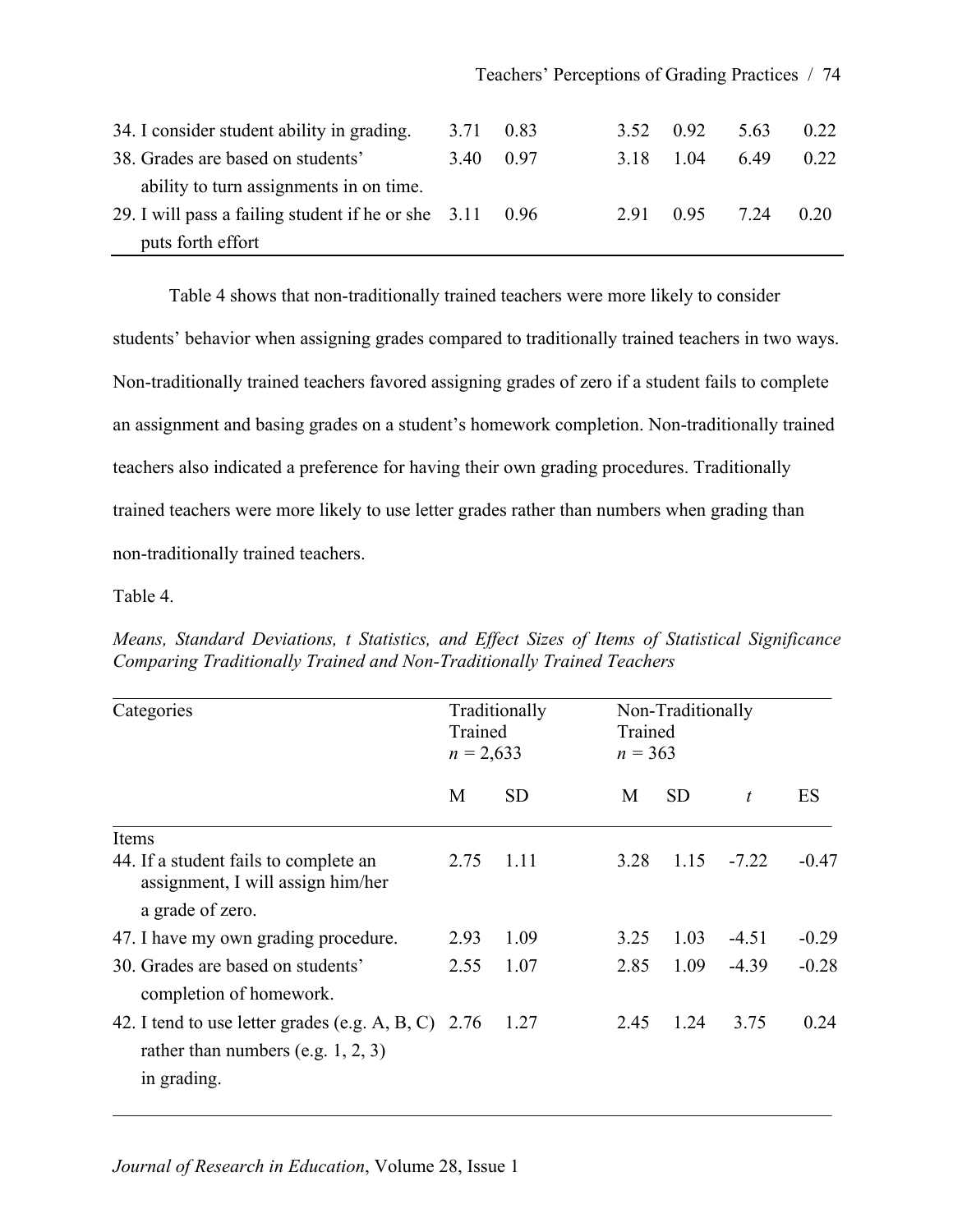| 34. I consider student ability in grading.                       | 3.71 0.83 |  | 3.52 0.92      | 5.63 | 0.22 |
|------------------------------------------------------------------|-----------|--|----------------|------|------|
| 38. Grades are based on students'                                | 3.40 0.97 |  | 3.18 1.04      | 649  | 0.22 |
| ability to turn assignments in on time.                          |           |  |                |      |      |
| 29. I will pass a failing student if he or she $3.11 \quad 0.96$ |           |  | 2.91 0.95 7.24 |      | 0.20 |
| puts forth effort                                                |           |  |                |      |      |

Table 4 shows that non-traditionally trained teachers were more likely to consider students' behavior when assigning grades compared to traditionally trained teachers in two ways. Non-traditionally trained teachers favored assigning grades of zero if a student fails to complete an assignment and basing grades on a student's homework completion. Non-traditionally trained teachers also indicated a preference for having their own grading procedures. Traditionally trained teachers were more likely to use letter grades rather than numbers when grading than non-traditionally trained teachers.

Table 4.

| Categories                                                                                                    |      | Traditionally<br>Non-Traditionally<br>Trained<br>Trained<br>$n = 2,633$<br>$n = 363$ |      |           |                  |         |
|---------------------------------------------------------------------------------------------------------------|------|--------------------------------------------------------------------------------------|------|-----------|------------------|---------|
|                                                                                                               | M    | <b>SD</b>                                                                            | M    | <b>SD</b> | $\boldsymbol{t}$ | ES      |
| Items                                                                                                         |      |                                                                                      |      |           |                  |         |
| 44. If a student fails to complete an<br>assignment, I will assign him/her                                    | 2.75 | 1.11                                                                                 | 3.28 | 1.15      | $-7.22$          | $-0.47$ |
| a grade of zero.                                                                                              |      |                                                                                      |      |           |                  |         |
| 47. I have my own grading procedure.                                                                          | 2.93 | 1.09                                                                                 | 3.25 | 1.03      | $-4.51$          | $-0.29$ |
| 30. Grades are based on students'<br>completion of homework.                                                  | 2.55 | 1.07                                                                                 | 2.85 | 1.09      | $-4.39$          | $-0.28$ |
| 42. I tend to use letter grades (e.g. A, B, C) $2.76$<br>rather than numbers (e.g. $1, 2, 3$ )<br>in grading. |      | 1.27                                                                                 | 2.45 | 1.24      | 3.75             | 0.24    |

*Means, Standard Deviations, t Statistics, and Effect Sizes of Items of Statistical Significance Comparing Traditionally Trained and Non-Traditionally Trained Teachers*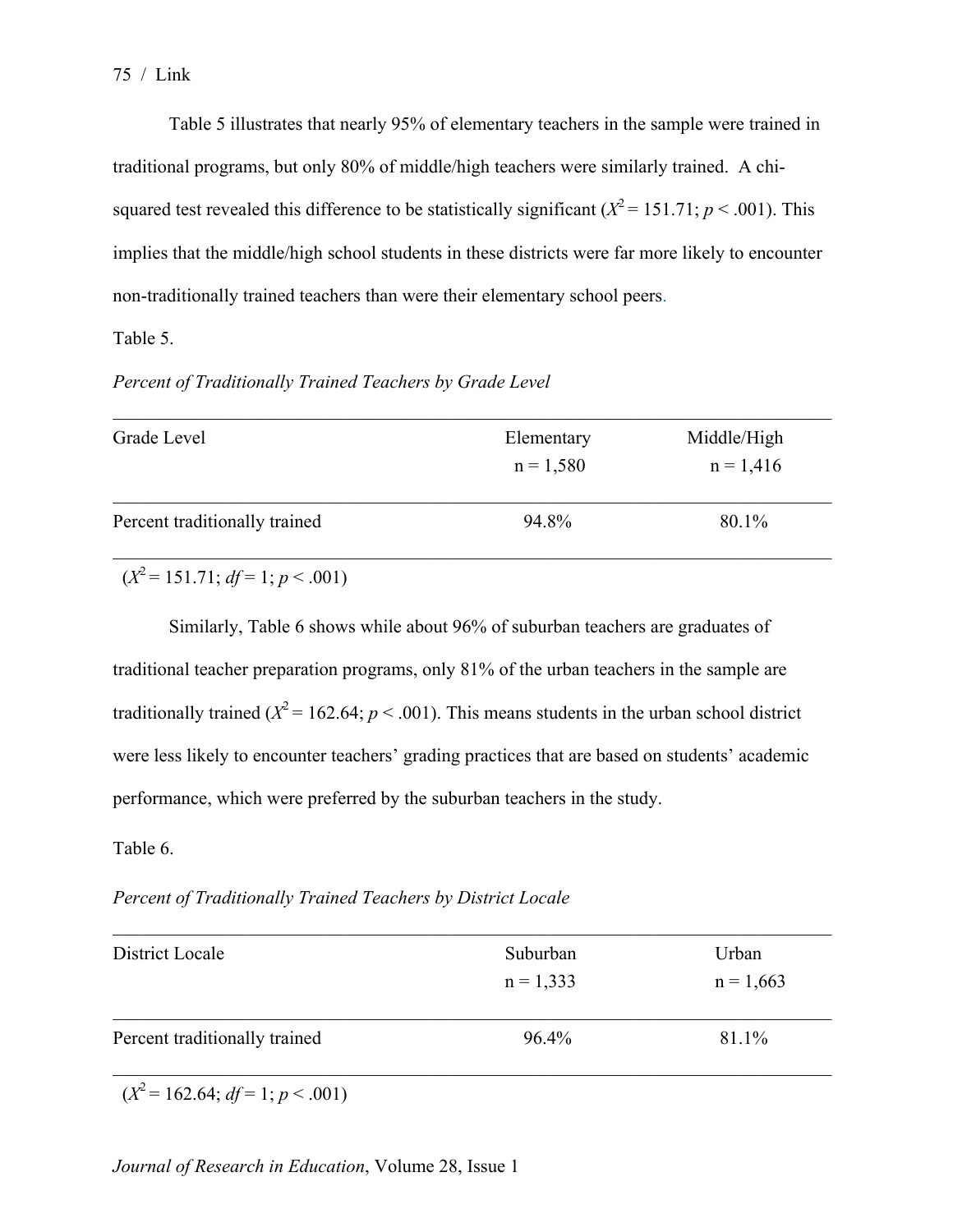Table 5 illustrates that nearly 95% of elementary teachers in the sample were trained in traditional programs, but only 80% of middle/high teachers were similarly trained. A chisquared test revealed this difference to be statistically significant ( $X^2 = 151.71$ ;  $p < .001$ ). This implies that the middle/high school students in these districts were far more likely to encounter non-traditionally trained teachers than were their elementary school peers.

Table 5.

*Percent of Traditionally Trained Teachers by Grade Level*

| Grade Level                   | Elementary<br>$n = 1,580$ | Middle/High<br>$n = 1,416$ |
|-------------------------------|---------------------------|----------------------------|
| Percent traditionally trained | 94.8%                     | 80.1%                      |

 $(X^2 = 151.71$ ; *df* = 1; *p* < .001)

Similarly, Table 6 shows while about 96% of suburban teachers are graduates of traditional teacher preparation programs, only 81% of the urban teachers in the sample are traditionally trained ( $X^2 = 162.64$ ;  $p < .001$ ). This means students in the urban school district were less likely to encounter teachers' grading practices that are based on students' academic performance, which were preferred by the suburban teachers in the study.

Table 6.

*Percent of Traditionally Trained Teachers by District Locale*

| District Locale               | Suburban    | Urban       |
|-------------------------------|-------------|-------------|
|                               | $n = 1,333$ | $n = 1,663$ |
| Percent traditionally trained | 96.4%       | 81.1%       |

 $(X^2 = 162.64; df = 1; p < .001)$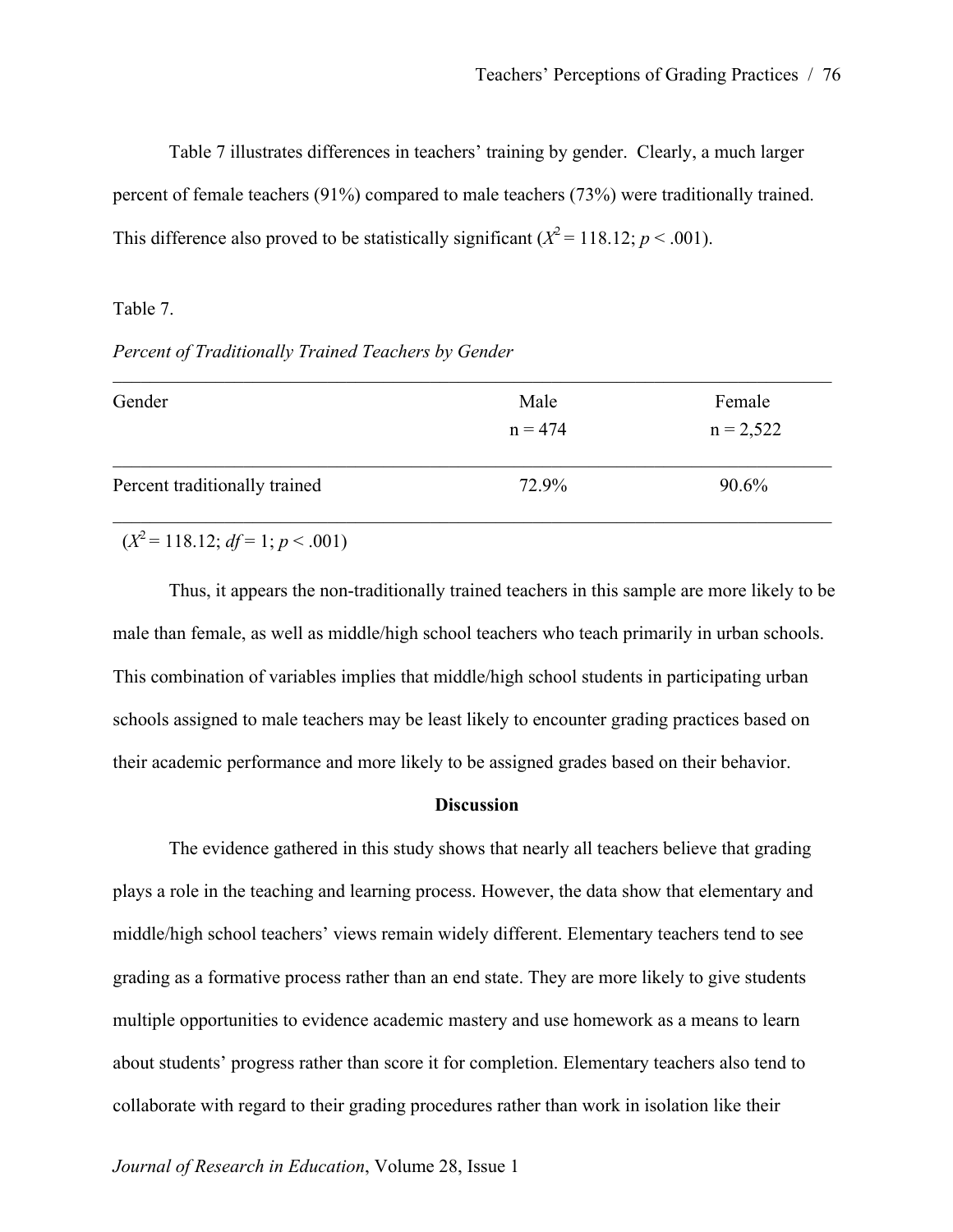Table 7 illustrates differences in teachers' training by gender. Clearly, a much larger percent of female teachers (91%) compared to male teachers (73%) were traditionally trained. This difference also proved to be statistically significant  $(X^2 = 118.12; p < .001)$ .

#### Table 7.

*Percent of Traditionally Trained Teachers by Gender*

| Gender                        | Male      | Female      |
|-------------------------------|-----------|-------------|
|                               | $n = 474$ | $n = 2,522$ |
| Percent traditionally trained | 72.9%     | 90.6%       |

 $(X^2 = 118.12$ ;  $df = 1$ ;  $p < .001$ )

Thus, it appears the non-traditionally trained teachers in this sample are more likely to be male than female, as well as middle/high school teachers who teach primarily in urban schools. This combination of variables implies that middle/high school students in participating urban schools assigned to male teachers may be least likely to encounter grading practices based on their academic performance and more likely to be assigned grades based on their behavior.

#### **Discussion**

The evidence gathered in this study shows that nearly all teachers believe that grading plays a role in the teaching and learning process. However, the data show that elementary and middle/high school teachers' views remain widely different. Elementary teachers tend to see grading as a formative process rather than an end state. They are more likely to give students multiple opportunities to evidence academic mastery and use homework as a means to learn about students' progress rather than score it for completion. Elementary teachers also tend to collaborate with regard to their grading procedures rather than work in isolation like their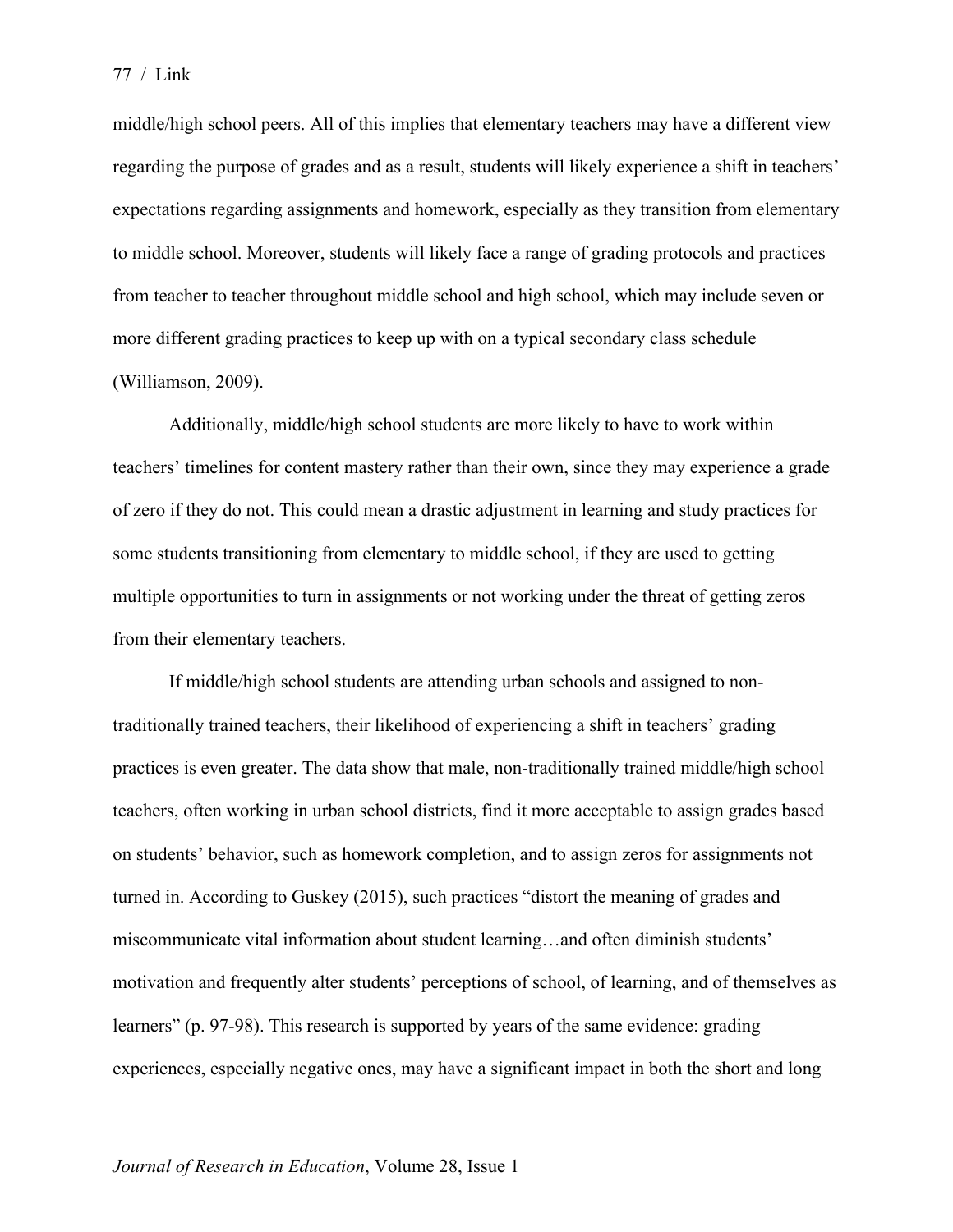middle/high school peers. All of this implies that elementary teachers may have a different view regarding the purpose of grades and as a result, students will likely experience a shift in teachers' expectations regarding assignments and homework, especially as they transition from elementary to middle school. Moreover, students will likely face a range of grading protocols and practices from teacher to teacher throughout middle school and high school, which may include seven or more different grading practices to keep up with on a typical secondary class schedule (Williamson, 2009).

Additionally, middle/high school students are more likely to have to work within teachers' timelines for content mastery rather than their own, since they may experience a grade of zero if they do not. This could mean a drastic adjustment in learning and study practices for some students transitioning from elementary to middle school, if they are used to getting multiple opportunities to turn in assignments or not working under the threat of getting zeros from their elementary teachers.

If middle/high school students are attending urban schools and assigned to nontraditionally trained teachers, their likelihood of experiencing a shift in teachers' grading practices is even greater. The data show that male, non-traditionally trained middle/high school teachers, often working in urban school districts, find it more acceptable to assign grades based on students' behavior, such as homework completion, and to assign zeros for assignments not turned in. According to Guskey (2015), such practices "distort the meaning of grades and miscommunicate vital information about student learning…and often diminish students' motivation and frequently alter students' perceptions of school, of learning, and of themselves as learners" (p. 97-98). This research is supported by years of the same evidence: grading experiences, especially negative ones, may have a significant impact in both the short and long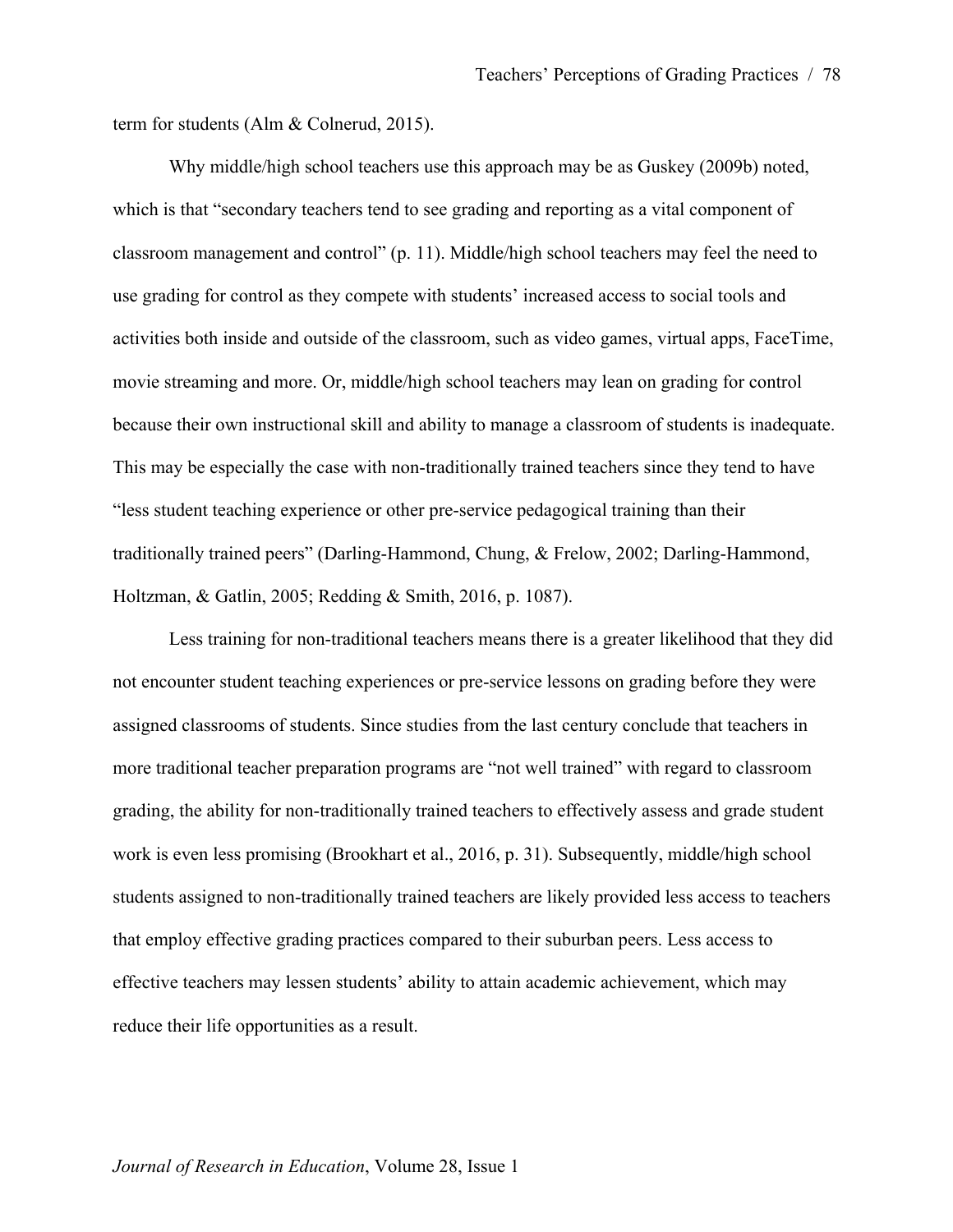term for students (Alm & Colnerud, 2015).

Why middle/high school teachers use this approach may be as Guskey (2009b) noted, which is that "secondary teachers tend to see grading and reporting as a vital component of classroom management and control" (p. 11). Middle/high school teachers may feel the need to use grading for control as they compete with students' increased access to social tools and activities both inside and outside of the classroom, such as video games, virtual apps, FaceTime, movie streaming and more. Or, middle/high school teachers may lean on grading for control because their own instructional skill and ability to manage a classroom of students is inadequate. This may be especially the case with non-traditionally trained teachers since they tend to have "less student teaching experience or other pre-service pedagogical training than their traditionally trained peers" (Darling-Hammond, Chung, & Frelow, 2002; Darling-Hammond, Holtzman, & Gatlin, 2005; Redding & Smith, 2016, p. 1087).

Less training for non-traditional teachers means there is a greater likelihood that they did not encounter student teaching experiences or pre-service lessons on grading before they were assigned classrooms of students. Since studies from the last century conclude that teachers in more traditional teacher preparation programs are "not well trained" with regard to classroom grading, the ability for non-traditionally trained teachers to effectively assess and grade student work is even less promising (Brookhart et al., 2016, p. 31). Subsequently, middle/high school students assigned to non-traditionally trained teachers are likely provided less access to teachers that employ effective grading practices compared to their suburban peers. Less access to effective teachers may lessen students' ability to attain academic achievement, which may reduce their life opportunities as a result.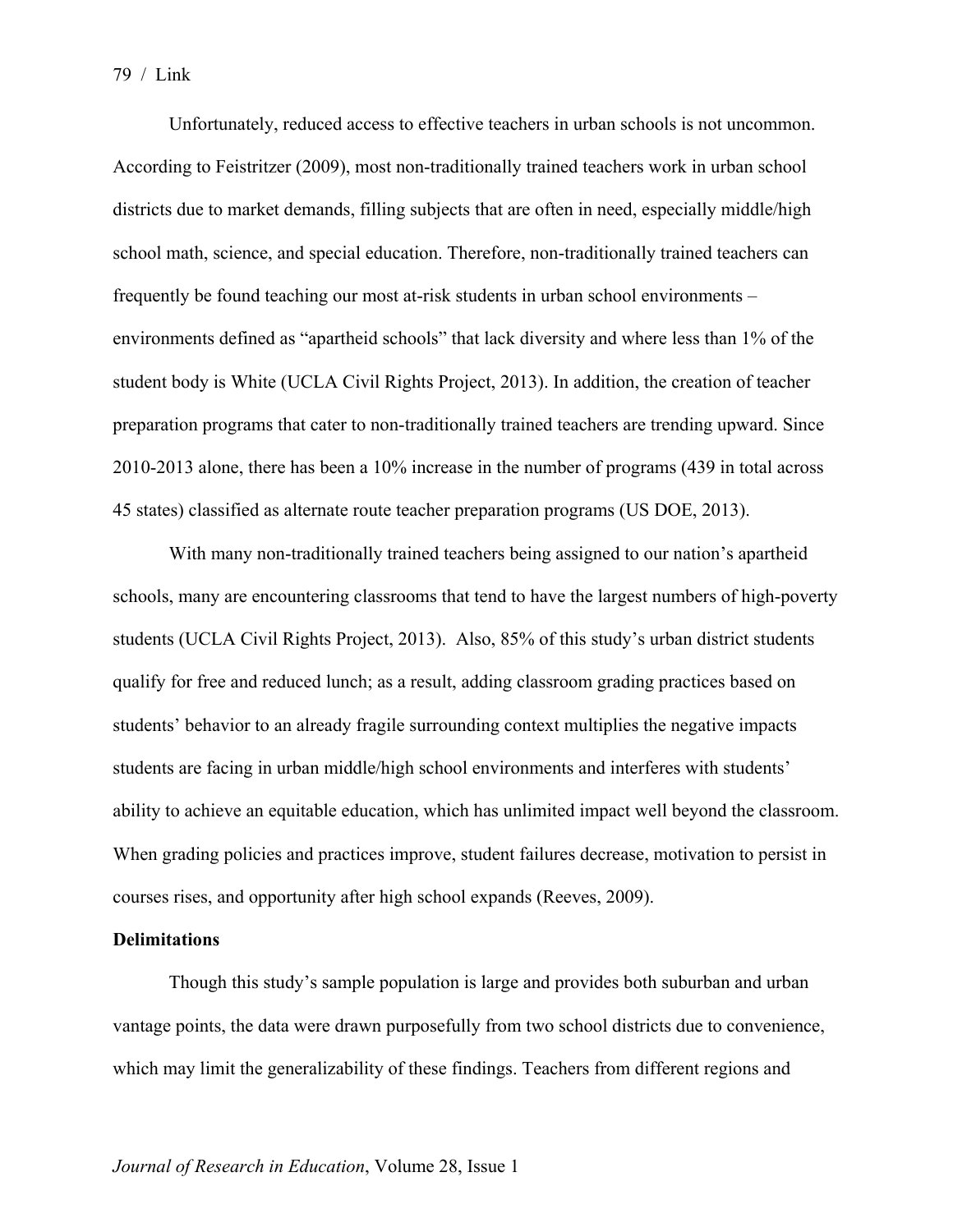Unfortunately, reduced access to effective teachers in urban schools is not uncommon. According to Feistritzer (2009), most non-traditionally trained teachers work in urban school districts due to market demands, filling subjects that are often in need, especially middle/high school math, science, and special education. Therefore, non-traditionally trained teachers can frequently be found teaching our most at-risk students in urban school environments – environments defined as "apartheid schools" that lack diversity and where less than 1% of the student body is White (UCLA Civil Rights Project, 2013). In addition, the creation of teacher preparation programs that cater to non-traditionally trained teachers are trending upward. Since 2010-2013 alone, there has been a 10% increase in the number of programs (439 in total across 45 states) classified as alternate route teacher preparation programs (US DOE, 2013).

With many non-traditionally trained teachers being assigned to our nation's apartheid schools, many are encountering classrooms that tend to have the largest numbers of high-poverty students (UCLA Civil Rights Project, 2013). Also, 85% of this study's urban district students qualify for free and reduced lunch; as a result, adding classroom grading practices based on students' behavior to an already fragile surrounding context multiplies the negative impacts students are facing in urban middle/high school environments and interferes with students' ability to achieve an equitable education, which has unlimited impact well beyond the classroom. When grading policies and practices improve, student failures decrease, motivation to persist in courses rises, and opportunity after high school expands (Reeves, 2009).

## **Delimitations**

Though this study's sample population is large and provides both suburban and urban vantage points, the data were drawn purposefully from two school districts due to convenience, which may limit the generalizability of these findings. Teachers from different regions and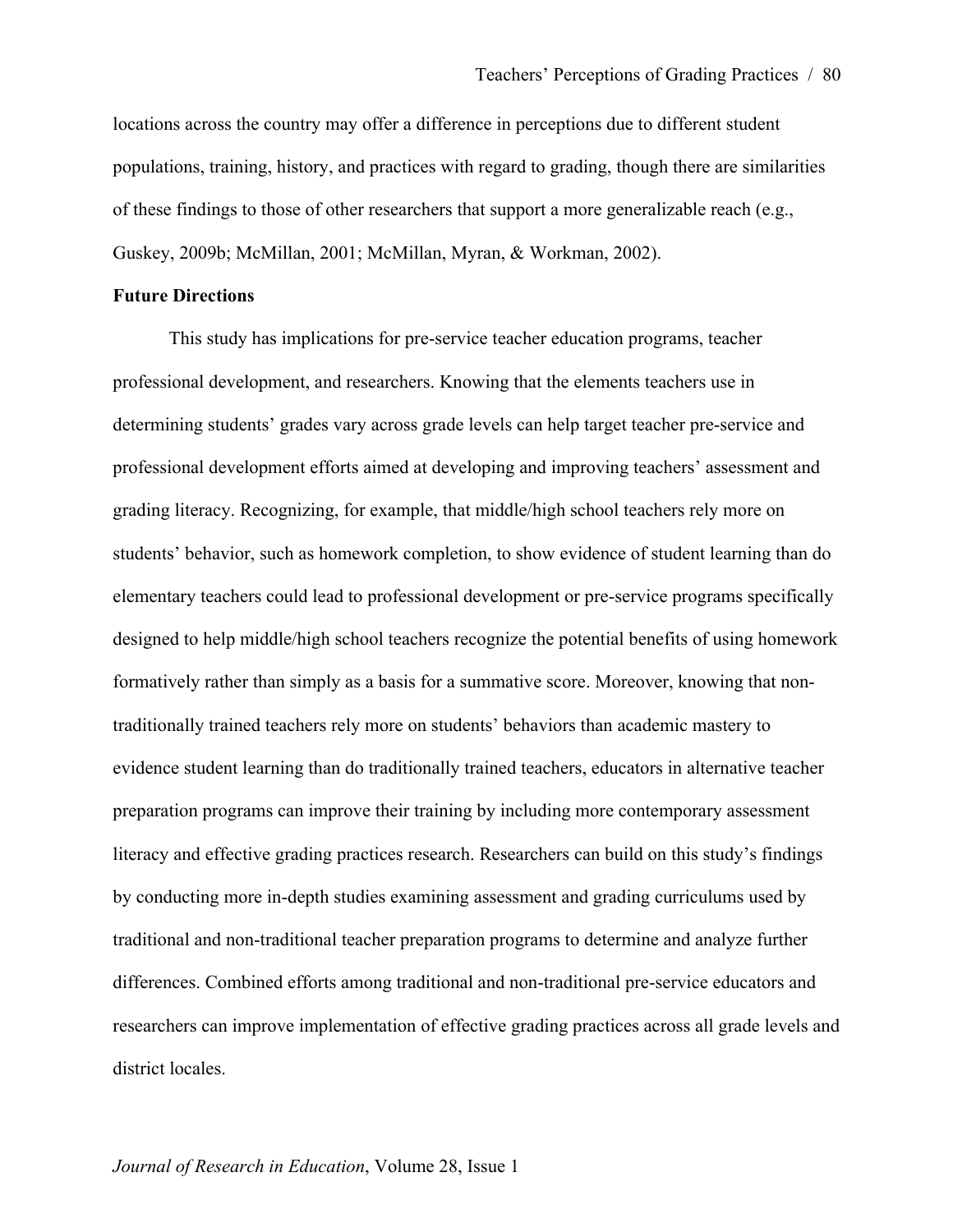locations across the country may offer a difference in perceptions due to different student populations, training, history, and practices with regard to grading, though there are similarities of these findings to those of other researchers that support a more generalizable reach (e.g., Guskey, 2009b; McMillan, 2001; McMillan, Myran, & Workman, 2002).

#### **Future Directions**

This study has implications for pre-service teacher education programs, teacher professional development, and researchers. Knowing that the elements teachers use in determining students' grades vary across grade levels can help target teacher pre-service and professional development efforts aimed at developing and improving teachers' assessment and grading literacy. Recognizing, for example, that middle/high school teachers rely more on students' behavior, such as homework completion, to show evidence of student learning than do elementary teachers could lead to professional development or pre-service programs specifically designed to help middle/high school teachers recognize the potential benefits of using homework formatively rather than simply as a basis for a summative score. Moreover, knowing that nontraditionally trained teachers rely more on students' behaviors than academic mastery to evidence student learning than do traditionally trained teachers, educators in alternative teacher preparation programs can improve their training by including more contemporary assessment literacy and effective grading practices research. Researchers can build on this study's findings by conducting more in-depth studies examining assessment and grading curriculums used by traditional and non-traditional teacher preparation programs to determine and analyze further differences. Combined efforts among traditional and non-traditional pre-service educators and researchers can improve implementation of effective grading practices across all grade levels and district locales.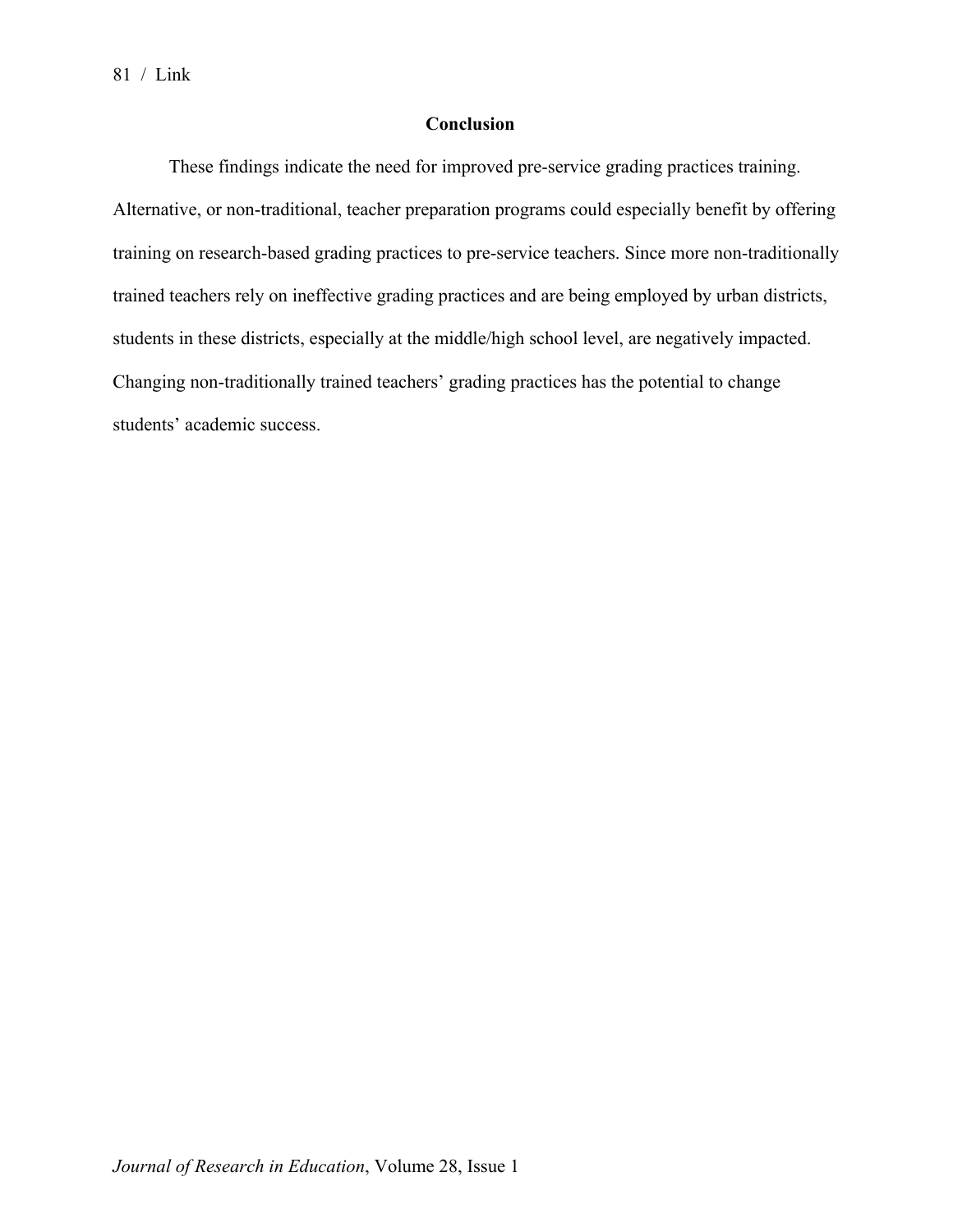## **Conclusion**

These findings indicate the need for improved pre-service grading practices training. Alternative, or non-traditional, teacher preparation programs could especially benefit by offering training on research-based grading practices to pre-service teachers. Since more non-traditionally trained teachers rely on ineffective grading practices and are being employed by urban districts, students in these districts, especially at the middle/high school level, are negatively impacted. Changing non-traditionally trained teachers' grading practices has the potential to change students' academic success.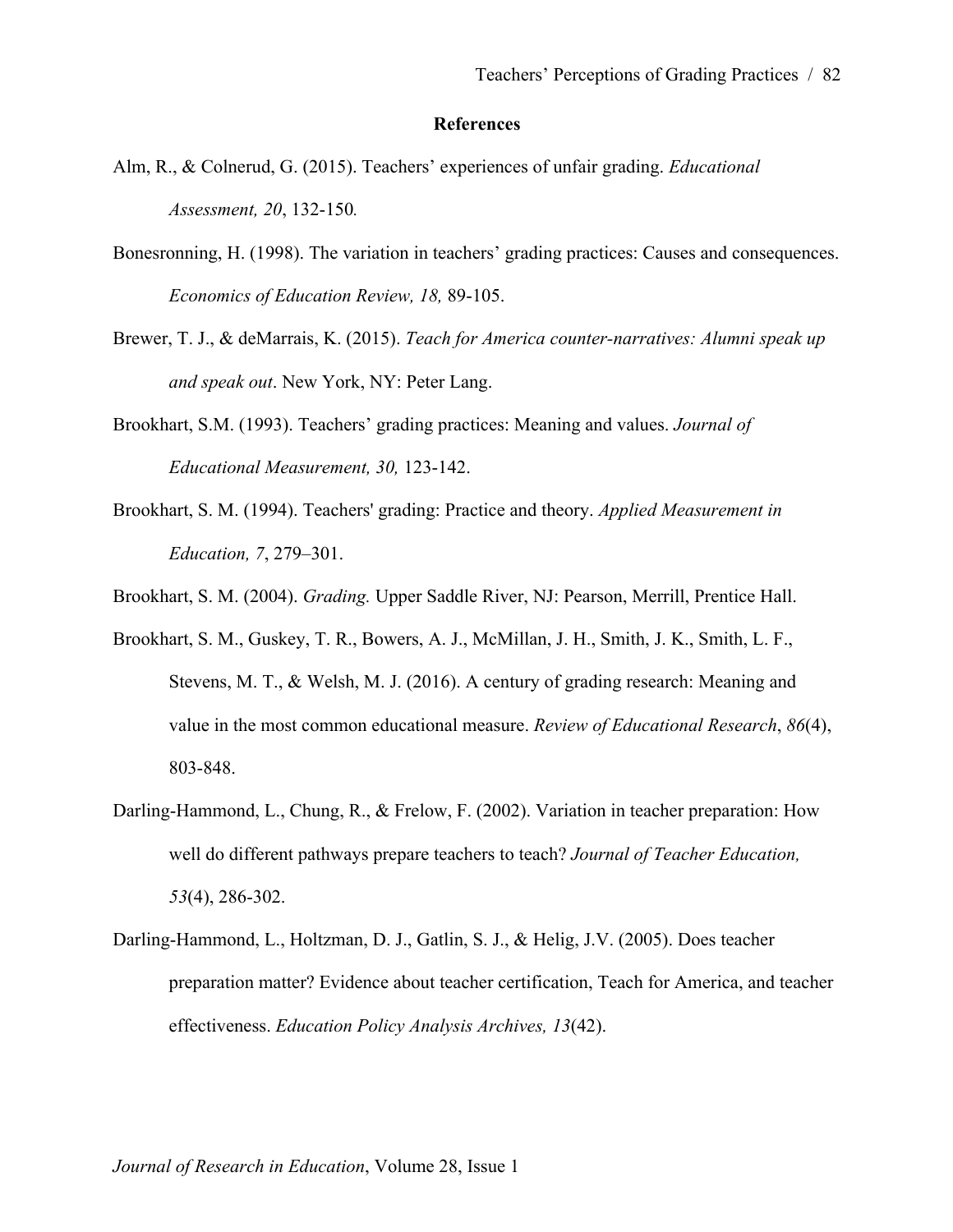### **References**

- Alm, R., & Colnerud, G. (2015). Teachers' experiences of unfair grading. *Educational Assessment, 20*, 132-150*.*
- Bonesronning, H. (1998). The variation in teachers' grading practices: Causes and consequences. *Economics of Education Review, 18,* 89-105.
- Brewer, T. J., & deMarrais, K. (2015). *Teach for America counter-narratives: Alumni speak up and speak out*. New York, NY: Peter Lang.
- Brookhart, S.M. (1993). Teachers' grading practices: Meaning and values. *Journal of Educational Measurement, 30,* 123-142.
- Brookhart, S. M. (1994). Teachers' grading: Practice and theory. *Applied Measurement in Education, 7*, 279–301.
- Brookhart, S. M. (2004). *Grading.* Upper Saddle River, NJ: Pearson, Merrill, Prentice Hall.
- Brookhart, S. M., Guskey, T. R., Bowers, A. J., McMillan, J. H., Smith, J. K., Smith, L. F., Stevens, M. T., & Welsh, M. J. (2016). A century of grading research: Meaning and value in the most common educational measure. *Review of Educational Research*, *86*(4), 803-848.
- Darling-Hammond, L., Chung, R., & Frelow, F. (2002). Variation in teacher preparation: How well do different pathways prepare teachers to teach? *Journal of Teacher Education, 53*(4), 286-302.
- Darling-Hammond, L., Holtzman, D. J., Gatlin, S. J., & Helig, J.V. (2005). Does teacher preparation matter? Evidence about teacher certification, Teach for America, and teacher effectiveness. *Education Policy Analysis Archives, 13*(42).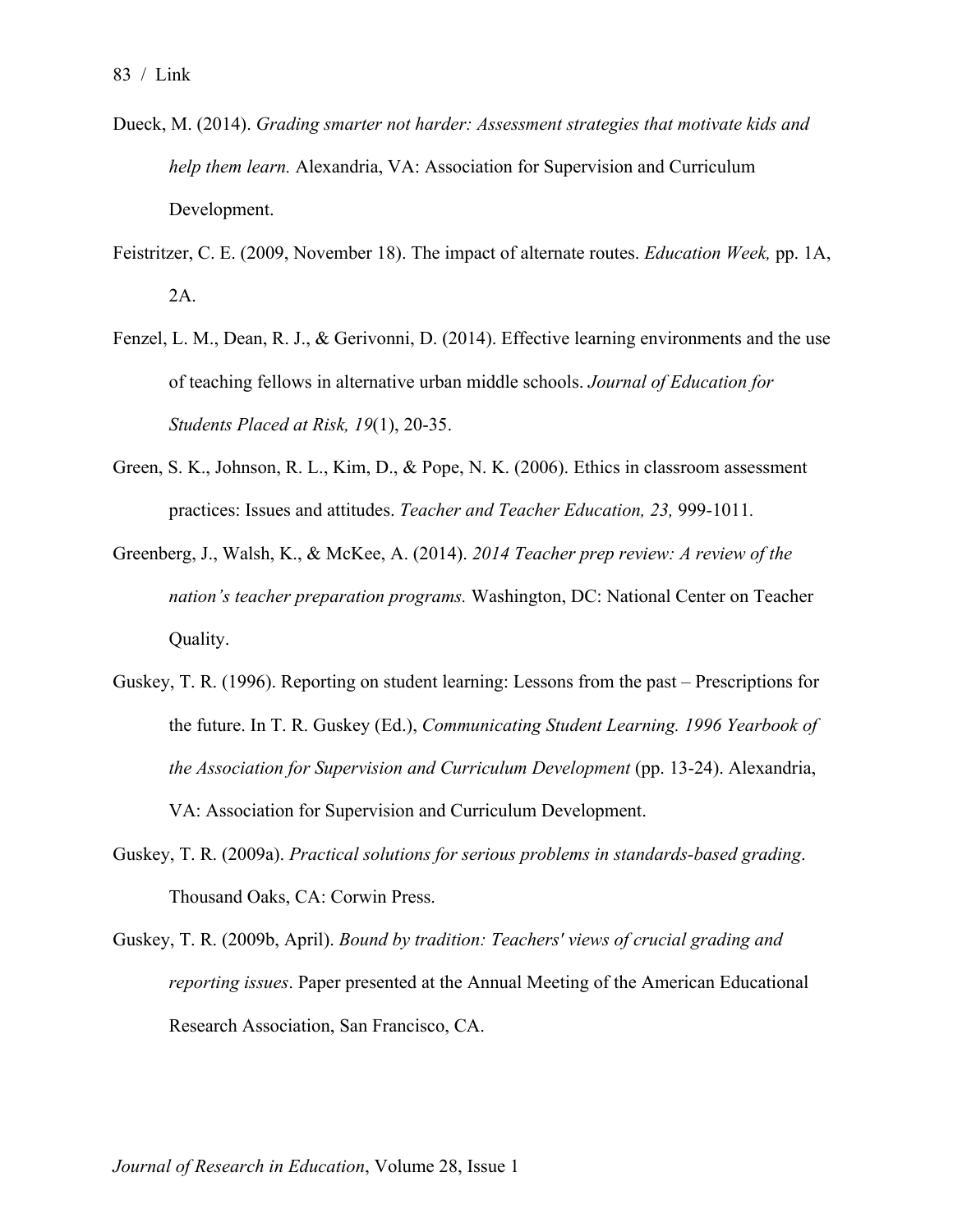- Dueck, M. (2014). *Grading smarter not harder: Assessment strategies that motivate kids and help them learn.* Alexandria, VA: Association for Supervision and Curriculum Development.
- Feistritzer, C. E. (2009, November 18). The impact of alternate routes. *Education Week,* pp. 1A, 2A.
- Fenzel, L. M., Dean, R. J., & Gerivonni, D. (2014). Effective learning environments and the use of teaching fellows in alternative urban middle schools. *Journal of Education for Students Placed at Risk, 19*(1), 20-35.
- Green, S. K., Johnson, R. L., Kim, D., & Pope, N. K. (2006). Ethics in classroom assessment practices: Issues and attitudes. *Teacher and Teacher Education, 23,* 999-1011*.*
- Greenberg, J., Walsh, K., & McKee, A. (2014). *2014 Teacher prep review: A review of the nation's teacher preparation programs.* Washington, DC: National Center on Teacher Quality.
- Guskey, T. R. (1996). Reporting on student learning: Lessons from the past Prescriptions for the future. In T. R. Guskey (Ed.), *Communicating Student Learning. 1996 Yearbook of the Association for Supervision and Curriculum Development* (pp. 13-24). Alexandria, VA: Association for Supervision and Curriculum Development.
- Guskey, T. R. (2009a). *Practical solutions for serious problems in standards-based grading*. Thousand Oaks, CA: Corwin Press.
- Guskey, T. R. (2009b, April). *Bound by tradition: Teachers' views of crucial grading and reporting issues*. Paper presented at the Annual Meeting of the American Educational Research Association, San Francisco, CA.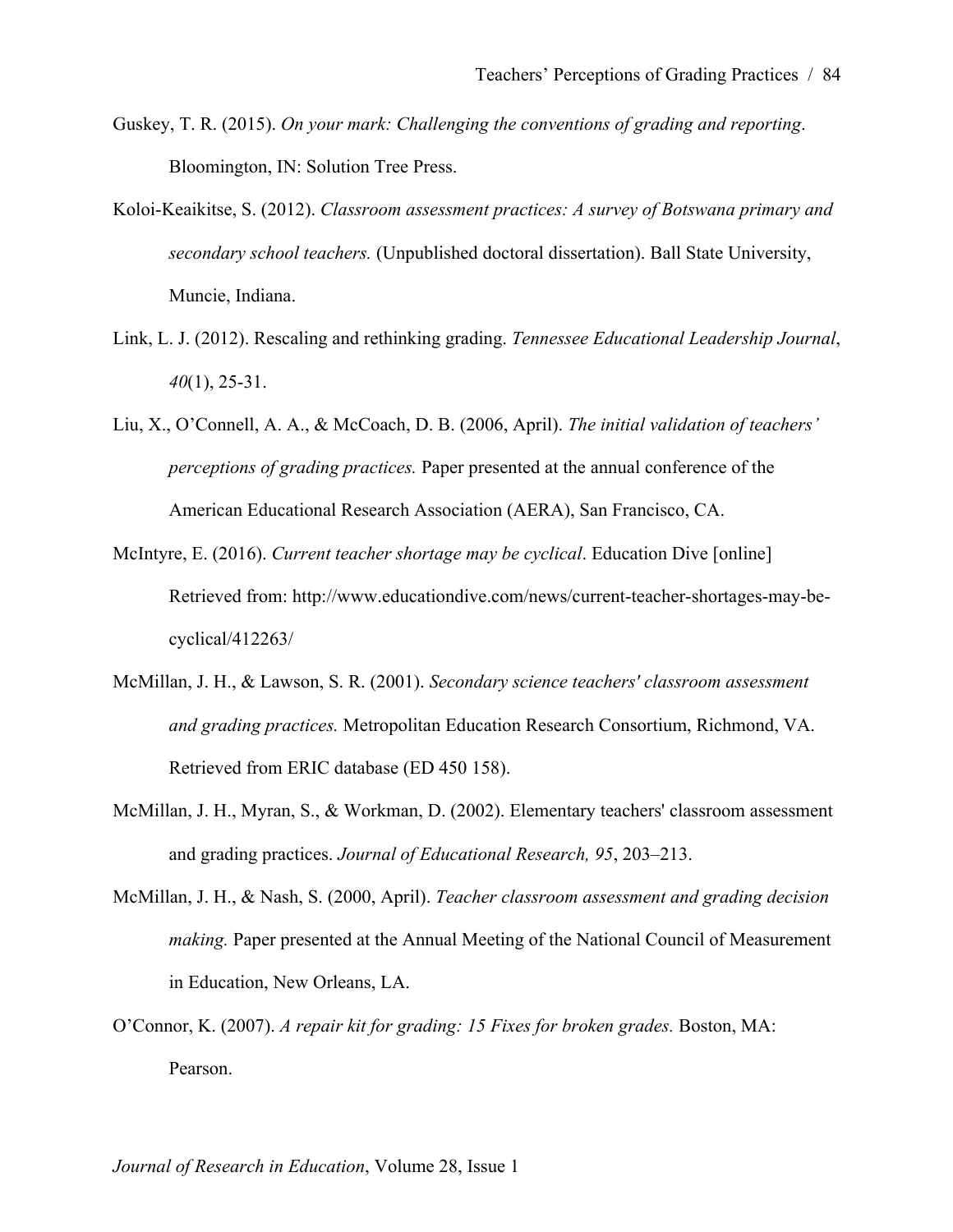- Guskey, T. R. (2015). *On your mark: Challenging the conventions of grading and reporting*. Bloomington, IN: Solution Tree Press.
- Koloi-Keaikitse, S. (2012). *Classroom assessment practices: A survey of Botswana primary and secondary school teachers.* (Unpublished doctoral dissertation). Ball State University, Muncie, Indiana.
- Link, L. J. (2012). Rescaling and rethinking grading. *Tennessee Educational Leadership Journal*, *40*(1), 25-31.
- Liu, X., O'Connell, A. A., & McCoach, D. B. (2006, April). *The initial validation of teachers' perceptions of grading practices.* Paper presented at the annual conference of the American Educational Research Association (AERA), San Francisco, CA.
- McIntyre, E. (2016). *Current teacher shortage may be cyclical*. Education Dive [online] Retrieved from: http://www.educationdive.com/news/current-teacher-shortages-may-becyclical/412263/
- McMillan, J. H., & Lawson, S. R. (2001). *Secondary science teachers' classroom assessment and grading practices.* Metropolitan Education Research Consortium, Richmond, VA. Retrieved from ERIC database (ED 450 158).
- McMillan, J. H., Myran, S., & Workman, D. (2002). Elementary teachers' classroom assessment and grading practices. *Journal of Educational Research, 95*, 203–213.
- McMillan, J. H., & Nash, S. (2000, April). *Teacher classroom assessment and grading decision making.* Paper presented at the Annual Meeting of the National Council of Measurement in Education, New Orleans, LA.
- O'Connor, K. (2007). *A repair kit for grading: 15 Fixes for broken grades.* Boston, MA: Pearson.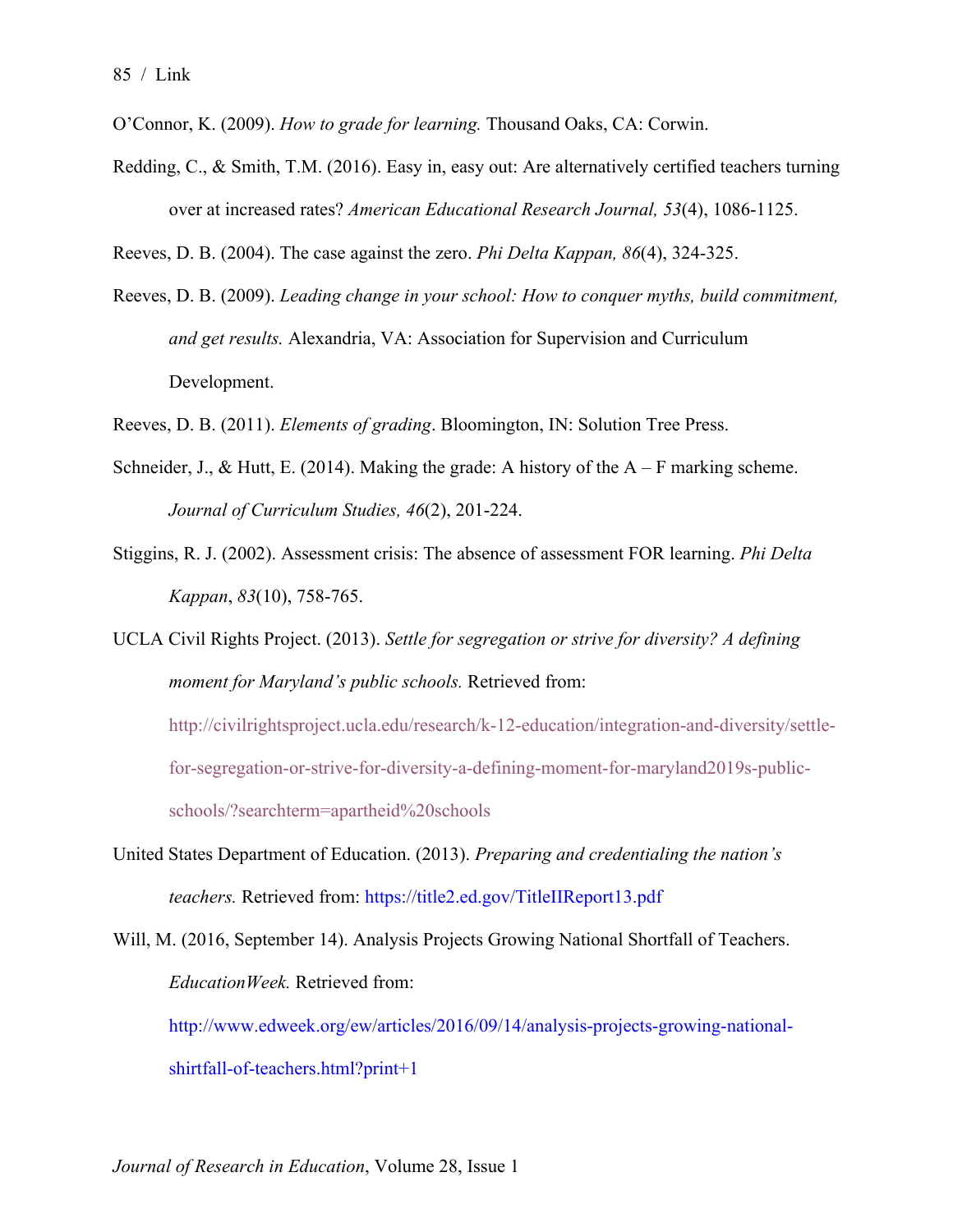- O'Connor, K. (2009). *How to grade for learning.* Thousand Oaks, CA: Corwin.
- Redding, C., & Smith, T.M. (2016). Easy in, easy out: Are alternatively certified teachers turning over at increased rates? *American Educational Research Journal, 53*(4), 1086-1125.

Reeves, D. B. (2004). The case against the zero. *Phi Delta Kappan, 86*(4), 324-325.

- Reeves, D. B. (2009). *Leading change in your school: How to conquer myths, build commitment, and get results.* Alexandria, VA: Association for Supervision and Curriculum Development.
- Reeves, D. B. (2011). *Elements of grading*. Bloomington, IN: Solution Tree Press.
- Schneider, J., & Hutt, E. (2014). Making the grade: A history of the  $A F$  marking scheme. *Journal of Curriculum Studies, 46*(2), 201-224.
- Stiggins, R. J. (2002). Assessment crisis: The absence of assessment FOR learning. *Phi Delta Kappan*, *83*(10), 758-765.

UCLA Civil Rights Project. (2013). *Settle for segregation or strive for diversity? A defining moment for Maryland's public schools.* Retrieved from: http://civilrightsproject.ucla.edu/research/k-12-education/integration-and-diversity/settlefor-segregation-or-strive-for-diversity-a-defining-moment-for-maryland2019s-publicschools/?searchterm=apartheid%20schools

- United States Department of Education. (2013). *Preparing and credentialing the nation's teachers.* Retrieved from: https://title2.ed.gov/TitleIIReport13.pdf
- Will, M. (2016, September 14). Analysis Projects Growing National Shortfall of Teachers. *EducationWeek.* Retrieved from:

http://www.edweek.org/ew/articles/2016/09/14/analysis-projects-growing-nationalshirtfall-of-teachers.html?print+1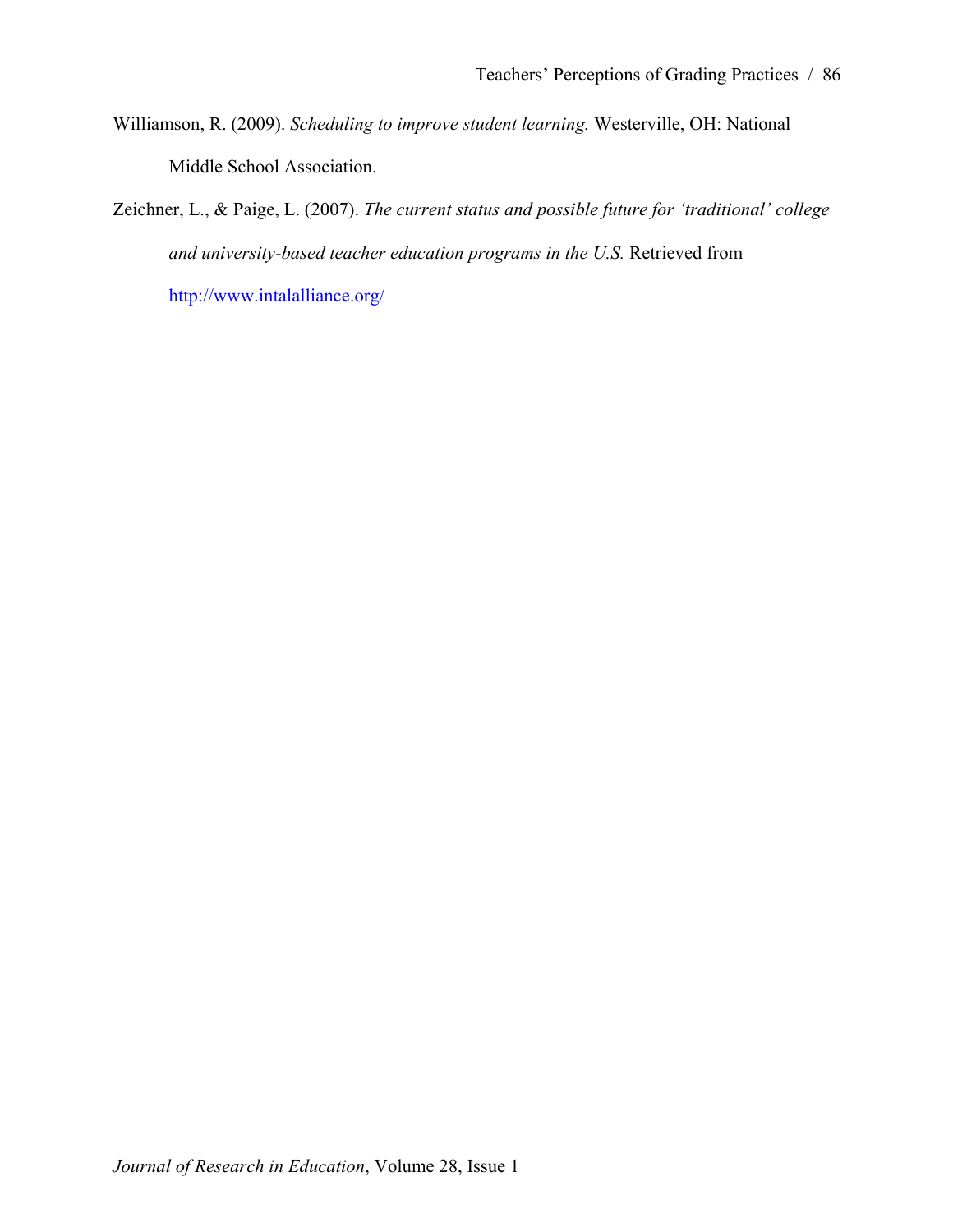- Williamson, R. (2009). *Scheduling to improve student learning.* Westerville, OH: National Middle School Association.
- Zeichner, L., & Paige, L. (2007). *The current status and possible future for 'traditional' college and university-based teacher education programs in the U.S.* Retrieved from http://www.intalalliance.org/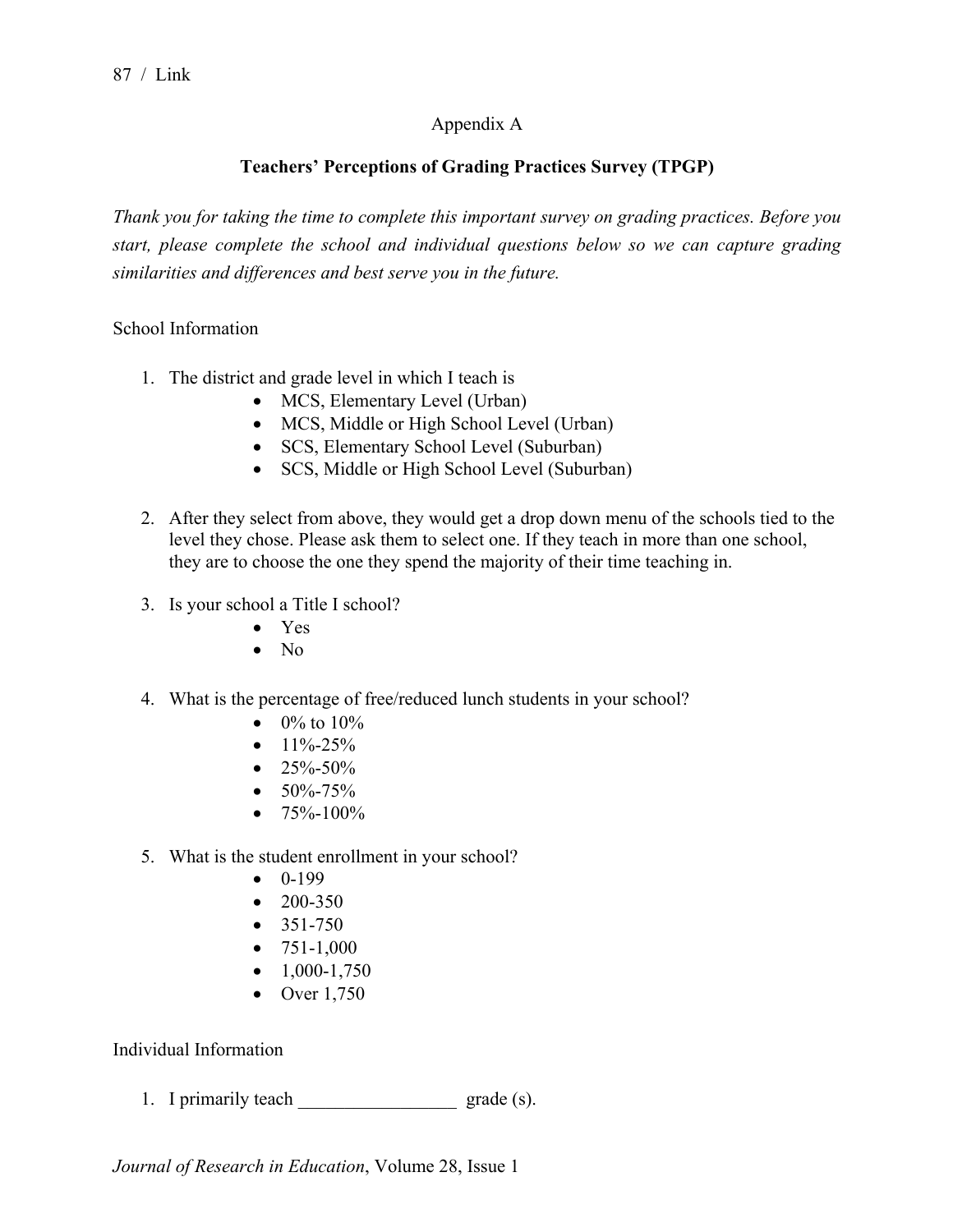## Appendix A

# **Teachers' Perceptions of Grading Practices Survey (TPGP)**

*Thank you for taking the time to complete this important survey on grading practices. Before you start, please complete the school and individual questions below so we can capture grading similarities and differences and best serve you in the future.* 

School Information

- 1. The district and grade level in which I teach is
	- MCS, Elementary Level (Urban)
	- MCS, Middle or High School Level (Urban)
	- SCS, Elementary School Level (Suburban)
	- SCS, Middle or High School Level (Suburban)
- 2. After they select from above, they would get a drop down menu of the schools tied to the level they chose. Please ask them to select one. If they teach in more than one school, they are to choose the one they spend the majority of their time teaching in.
- 3. Is your school a Title I school?
	- Yes
	- $\bullet$  No
- 4. What is the percentage of free/reduced lunch students in your school?
	- $0\%$  to  $10\%$
	- $\bullet$  11%-25%
	- $\bullet$  25%-50%
	- $50\% 75\%$
	- $75\% 100\%$
- 5. What is the student enrollment in your school?
	- $-0.199$
	- $\bullet$  200-350
	- $351 750$
	- $751-1,000$
	- $\bullet$  1,000-1,750
	- Over 1,750

Individual Information

1. I primarily teach  $\qquad \qquad$  grade (s).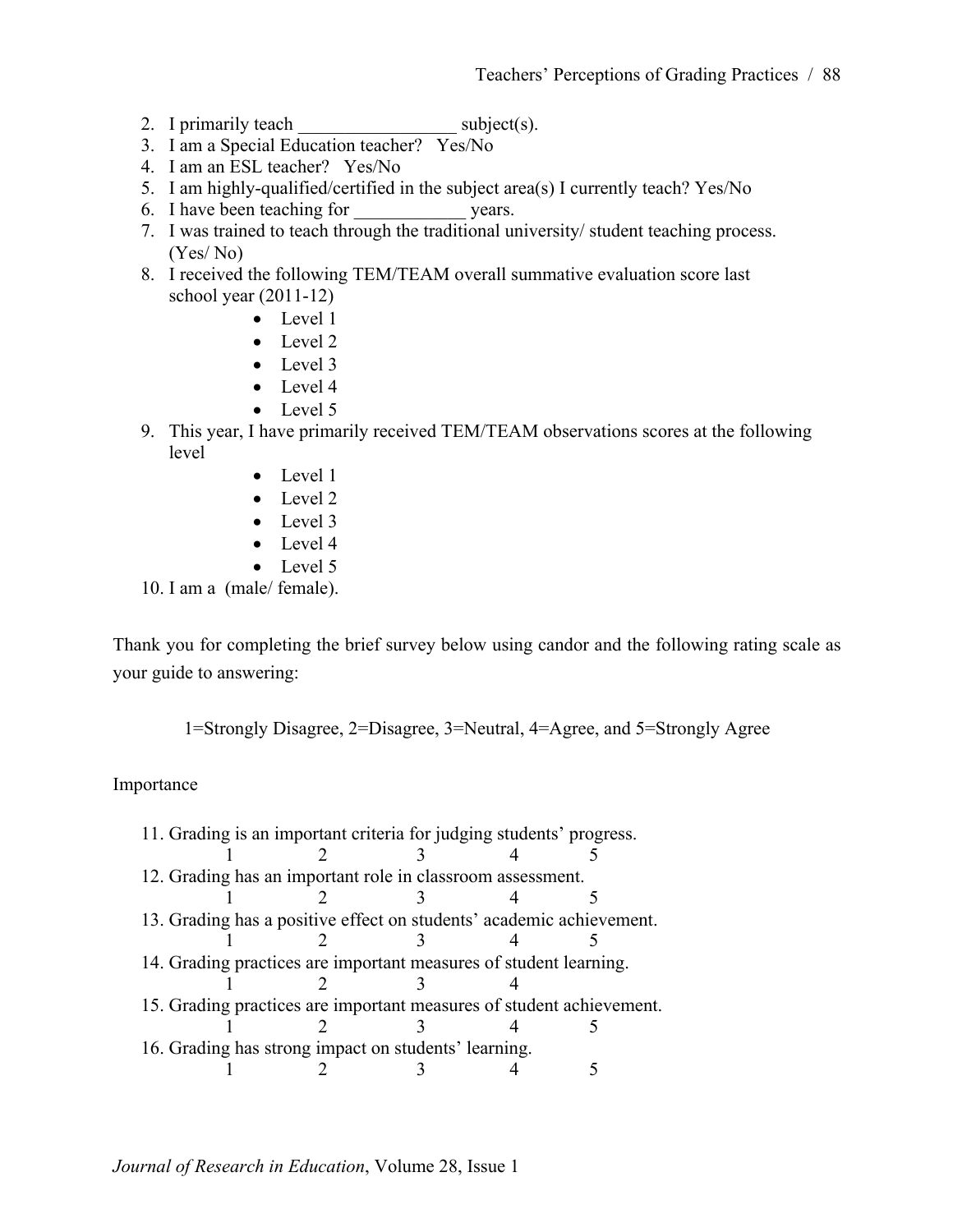- 2. I primarily teach  $\omega$  subject(s).
- 3. I am a Special Education teacher? Yes/No
- 4. I am an ESL teacher? Yes/No
- 5. I am highly-qualified/certified in the subject area(s) I currently teach? Yes/No
- 6. I have been teaching for vears.
- 7. I was trained to teach through the traditional university/ student teaching process. (Yes/ No)
- 8. I received the following TEM/TEAM overall summative evaluation score last school year (2011-12)
	- Level 1
	- Level 2
	- Level 3
	- Level 4
	- Level 5
- 9. This year, I have primarily received TEM/TEAM observations scores at the following level
	- Level 1
	- Level 2
	- Level 3
	- Level 4
	- Level 5

10. I am a (male/ female).

Thank you for completing the brief survey below using candor and the following rating scale as your guide to answering:

1=Strongly Disagree, 2=Disagree, 3=Neutral, 4=Agree, and 5=Strongly Agree

## Importance

|                                                                      | 11. Grading is an important criteria for judging students' progress. |  |  |  |  |  |  |
|----------------------------------------------------------------------|----------------------------------------------------------------------|--|--|--|--|--|--|
|                                                                      |                                                                      |  |  |  |  |  |  |
| 12. Grading has an important role in classroom assessment.           |                                                                      |  |  |  |  |  |  |
|                                                                      |                                                                      |  |  |  |  |  |  |
| 13. Grading has a positive effect on students' academic achievement. |                                                                      |  |  |  |  |  |  |
|                                                                      |                                                                      |  |  |  |  |  |  |
|                                                                      | 14. Grading practices are important measures of student learning.    |  |  |  |  |  |  |
|                                                                      |                                                                      |  |  |  |  |  |  |
|                                                                      | 15. Grading practices are important measures of student achievement. |  |  |  |  |  |  |
|                                                                      |                                                                      |  |  |  |  |  |  |
|                                                                      | 16. Grading has strong impact on students' learning.                 |  |  |  |  |  |  |
|                                                                      |                                                                      |  |  |  |  |  |  |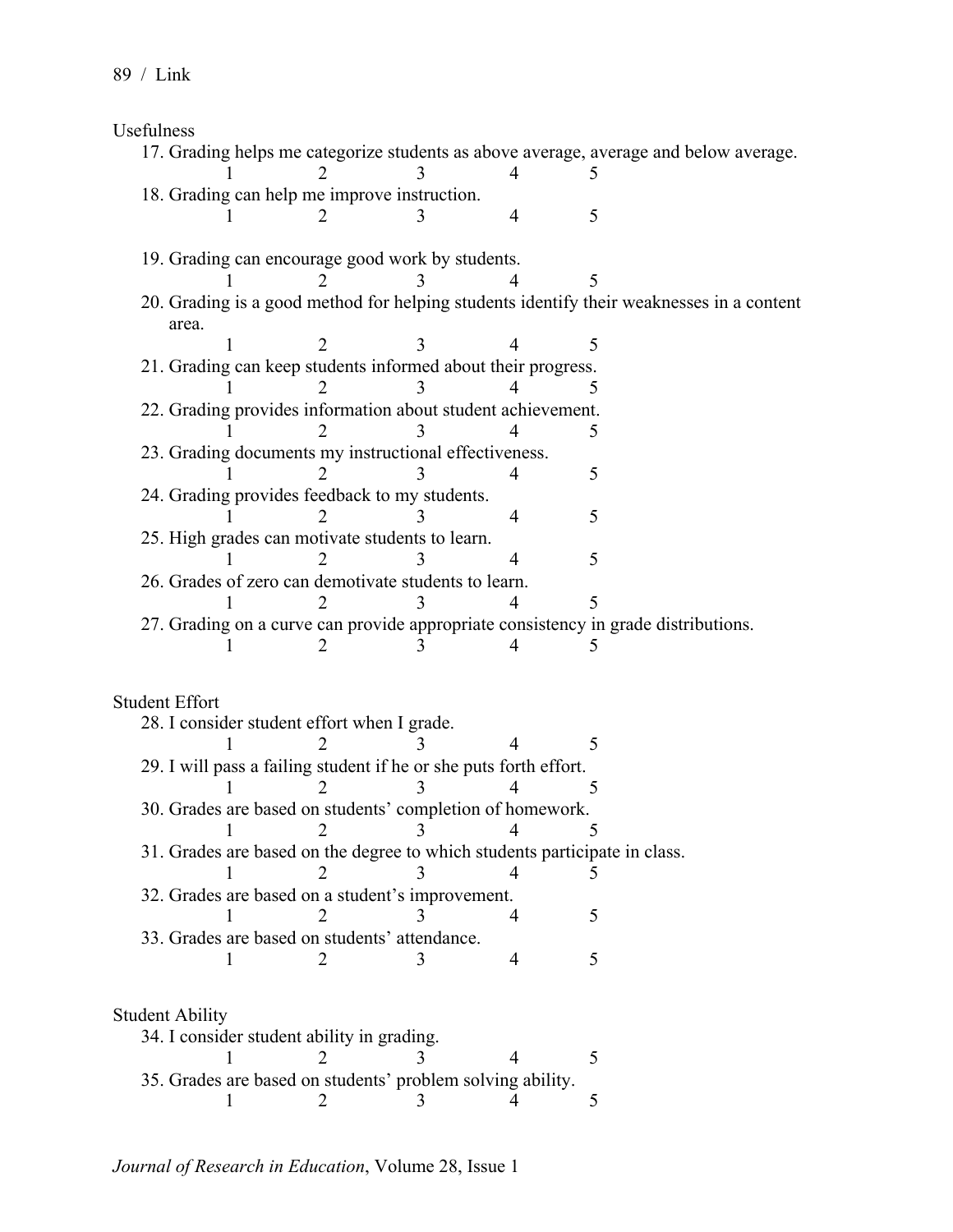Usefulness

| <b>OSCIGINUSS</b> |                        |                                               |                                                                   |   |                                                                                          |
|-------------------|------------------------|-----------------------------------------------|-------------------------------------------------------------------|---|------------------------------------------------------------------------------------------|
|                   |                        |                                               |                                                                   |   | 17. Grading helps me categorize students as above average, average and below average.    |
|                   |                        |                                               |                                                                   | 4 |                                                                                          |
|                   |                        | 18. Grading can help me improve instruction.  |                                                                   |   |                                                                                          |
|                   |                        |                                               |                                                                   | 4 | 5                                                                                        |
|                   |                        |                                               |                                                                   |   |                                                                                          |
|                   |                        |                                               | 19. Grading can encourage good work by students.                  |   |                                                                                          |
|                   |                        |                                               |                                                                   |   |                                                                                          |
|                   |                        |                                               |                                                                   |   | 20. Grading is a good method for helping students identify their weaknesses in a content |
|                   | area.                  |                                               |                                                                   |   |                                                                                          |
|                   |                        |                                               |                                                                   |   | 5                                                                                        |
|                   |                        |                                               | 21. Grading can keep students informed about their progress.      |   |                                                                                          |
|                   |                        |                                               |                                                                   |   |                                                                                          |
|                   |                        |                                               | 22. Grading provides information about student achievement.       |   |                                                                                          |
|                   |                        |                                               |                                                                   |   | 5                                                                                        |
|                   |                        |                                               | 23. Grading documents my instructional effectiveness.             |   |                                                                                          |
|                   |                        |                                               |                                                                   | 4 | 5                                                                                        |
|                   |                        |                                               | 24. Grading provides feedback to my students.                     |   |                                                                                          |
|                   |                        |                                               |                                                                   | 4 | 5                                                                                        |
|                   |                        |                                               | 25. High grades can motivate students to learn.                   |   |                                                                                          |
|                   |                        |                                               |                                                                   | 4 | 5                                                                                        |
|                   |                        |                                               | 26. Grades of zero can demotivate students to learn.              |   |                                                                                          |
|                   |                        |                                               |                                                                   |   |                                                                                          |
|                   |                        |                                               |                                                                   |   | 27. Grading on a curve can provide appropriate consistency in grade distributions.       |
|                   |                        |                                               |                                                                   |   |                                                                                          |
|                   |                        |                                               |                                                                   |   |                                                                                          |
|                   | <b>Student Effort</b>  |                                               |                                                                   |   |                                                                                          |
|                   |                        | 28. I consider student effort when I grade.   |                                                                   |   |                                                                                          |
|                   |                        |                                               |                                                                   |   | 5                                                                                        |
|                   |                        |                                               | 29. I will pass a failing student if he or she puts forth effort. |   |                                                                                          |
|                   |                        |                                               |                                                                   |   | 5                                                                                        |
|                   |                        |                                               | 30. Grades are based on students' completion of homework.         |   |                                                                                          |
|                   |                        |                                               | $\mathcal{E}$                                                     |   |                                                                                          |
|                   |                        |                                               |                                                                   |   | 31. Grades are based on the degree to which students participate in class.               |
|                   |                        |                                               |                                                                   | 4 |                                                                                          |
|                   |                        |                                               | 32. Grades are based on a student's improvement.                  |   |                                                                                          |
|                   |                        |                                               |                                                                   | 4 | 5                                                                                        |
|                   |                        | 33. Grades are based on students' attendance. |                                                                   |   |                                                                                          |
|                   |                        |                                               |                                                                   | 4 | 5                                                                                        |
|                   |                        |                                               |                                                                   |   |                                                                                          |
|                   |                        |                                               |                                                                   |   |                                                                                          |
|                   | <b>Student Ability</b> |                                               |                                                                   |   |                                                                                          |
|                   |                        | 34. I consider student ability in grading.    |                                                                   |   |                                                                                          |
|                   |                        |                                               |                                                                   | 4 | 5                                                                                        |
|                   |                        |                                               | 35. Grades are based on students' problem solving ability.        |   |                                                                                          |
|                   |                        |                                               |                                                                   |   | 5                                                                                        |
|                   |                        |                                               |                                                                   |   |                                                                                          |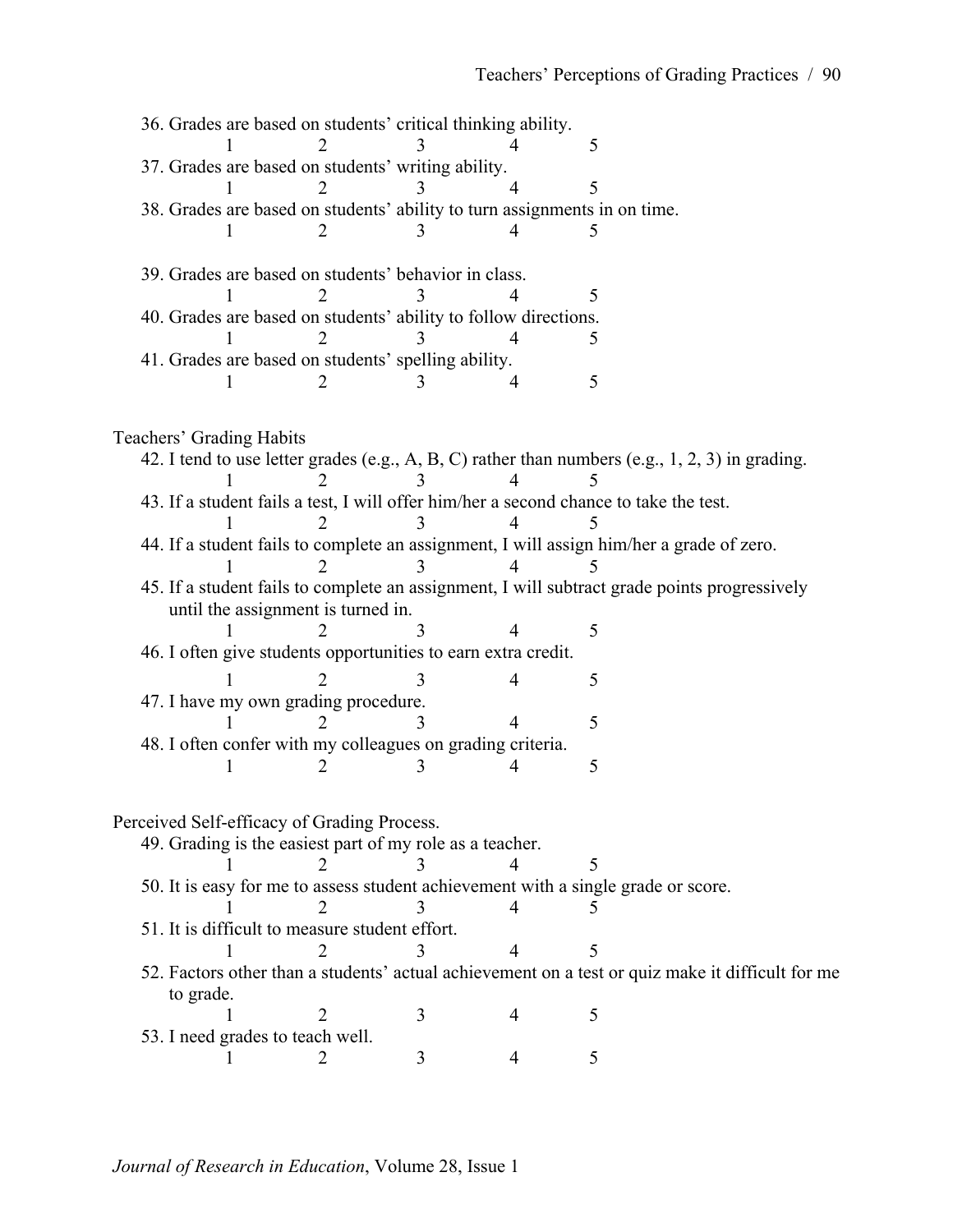|                                                                                              |                                                      |  |  |                                                          |   | 36. Grades are based on students' critical thinking ability.              |   |                                                                                                    |  |
|----------------------------------------------------------------------------------------------|------------------------------------------------------|--|--|----------------------------------------------------------|---|---------------------------------------------------------------------------|---|----------------------------------------------------------------------------------------------------|--|
|                                                                                              |                                                      |  |  |                                                          |   |                                                                           | 5 |                                                                                                    |  |
|                                                                                              |                                                      |  |  | 37. Grades are based on students' writing ability.       |   |                                                                           |   |                                                                                                    |  |
|                                                                                              |                                                      |  |  |                                                          |   |                                                                           | 5 |                                                                                                    |  |
|                                                                                              |                                                      |  |  |                                                          |   | 38. Grades are based on students' ability to turn assignments in on time. |   |                                                                                                    |  |
|                                                                                              |                                                      |  |  |                                                          |   |                                                                           |   |                                                                                                    |  |
|                                                                                              |                                                      |  |  |                                                          |   |                                                                           |   |                                                                                                    |  |
|                                                                                              | 39. Grades are based on students' behavior in class. |  |  |                                                          |   |                                                                           |   |                                                                                                    |  |
|                                                                                              |                                                      |  |  |                                                          |   |                                                                           | 5 |                                                                                                    |  |
| 40. Grades are based on students' ability to follow directions.                              |                                                      |  |  |                                                          |   |                                                                           |   |                                                                                                    |  |
|                                                                                              |                                                      |  |  |                                                          |   |                                                                           | 5 |                                                                                                    |  |
|                                                                                              |                                                      |  |  | 41. Grades are based on students' spelling ability.      |   |                                                                           |   |                                                                                                    |  |
|                                                                                              |                                                      |  |  |                                                          |   |                                                                           | 5 |                                                                                                    |  |
|                                                                                              |                                                      |  |  |                                                          |   |                                                                           |   |                                                                                                    |  |
|                                                                                              |                                                      |  |  |                                                          |   |                                                                           |   |                                                                                                    |  |
|                                                                                              | Teachers' Grading Habits                             |  |  |                                                          |   |                                                                           |   |                                                                                                    |  |
|                                                                                              |                                                      |  |  |                                                          |   |                                                                           |   | 42. I tend to use letter grades (e.g., A, B, C) rather than numbers (e.g., $1, 2, 3$ ) in grading. |  |
|                                                                                              |                                                      |  |  |                                                          |   |                                                                           |   |                                                                                                    |  |
|                                                                                              |                                                      |  |  |                                                          |   |                                                                           |   | 43. If a student fails a test, I will offer him/her a second chance to take the test.              |  |
|                                                                                              |                                                      |  |  |                                                          |   |                                                                           |   |                                                                                                    |  |
|                                                                                              |                                                      |  |  |                                                          |   |                                                                           |   | 44. If a student fails to complete an assignment, I will assign him/her a grade of zero.           |  |
|                                                                                              |                                                      |  |  |                                                          |   |                                                                           |   |                                                                                                    |  |
| 45. If a student fails to complete an assignment, I will subtract grade points progressively |                                                      |  |  |                                                          |   |                                                                           |   |                                                                                                    |  |
|                                                                                              |                                                      |  |  | until the assignment is turned in.                       |   |                                                                           |   |                                                                                                    |  |
|                                                                                              |                                                      |  |  |                                                          |   |                                                                           | 5 |                                                                                                    |  |
|                                                                                              |                                                      |  |  |                                                          |   | 46. I often give students opportunities to earn extra credit.             |   |                                                                                                    |  |
|                                                                                              |                                                      |  |  |                                                          |   |                                                                           | 5 |                                                                                                    |  |
|                                                                                              |                                                      |  |  | 47. I have my own grading procedure.                     |   |                                                                           |   |                                                                                                    |  |
|                                                                                              |                                                      |  |  |                                                          |   |                                                                           | 5 |                                                                                                    |  |
|                                                                                              |                                                      |  |  |                                                          |   | 48. I often confer with my colleagues on grading criteria.                |   |                                                                                                    |  |
|                                                                                              |                                                      |  |  |                                                          |   |                                                                           | 5 |                                                                                                    |  |
|                                                                                              |                                                      |  |  |                                                          |   |                                                                           |   |                                                                                                    |  |
|                                                                                              |                                                      |  |  |                                                          |   |                                                                           |   |                                                                                                    |  |
|                                                                                              |                                                      |  |  | Perceived Self-efficacy of Grading Process.              |   |                                                                           |   |                                                                                                    |  |
|                                                                                              |                                                      |  |  | 49. Grading is the easiest part of my role as a teacher. |   |                                                                           |   |                                                                                                    |  |
|                                                                                              |                                                      |  |  |                                                          |   |                                                                           |   |                                                                                                    |  |
| 50. It is easy for me to assess student achievement with a single grade or score.            |                                                      |  |  |                                                          |   |                                                                           |   |                                                                                                    |  |
|                                                                                              |                                                      |  |  |                                                          |   |                                                                           |   |                                                                                                    |  |
|                                                                                              |                                                      |  |  | 51. It is difficult to measure student effort.           |   |                                                                           |   |                                                                                                    |  |
|                                                                                              |                                                      |  |  |                                                          |   |                                                                           | 5 |                                                                                                    |  |
|                                                                                              |                                                      |  |  |                                                          |   |                                                                           |   | 52. Factors other than a students' actual achievement on a test or quiz make it difficult for me   |  |
|                                                                                              | to grade.                                            |  |  |                                                          |   |                                                                           |   |                                                                                                    |  |
|                                                                                              |                                                      |  |  | 2                                                        | 3 | 4                                                                         | 5 |                                                                                                    |  |
|                                                                                              |                                                      |  |  | 53. I need grades to teach well.                         |   |                                                                           |   |                                                                                                    |  |
|                                                                                              |                                                      |  |  |                                                          | 3 | 4                                                                         | 5 |                                                                                                    |  |
|                                                                                              |                                                      |  |  |                                                          |   |                                                                           |   |                                                                                                    |  |